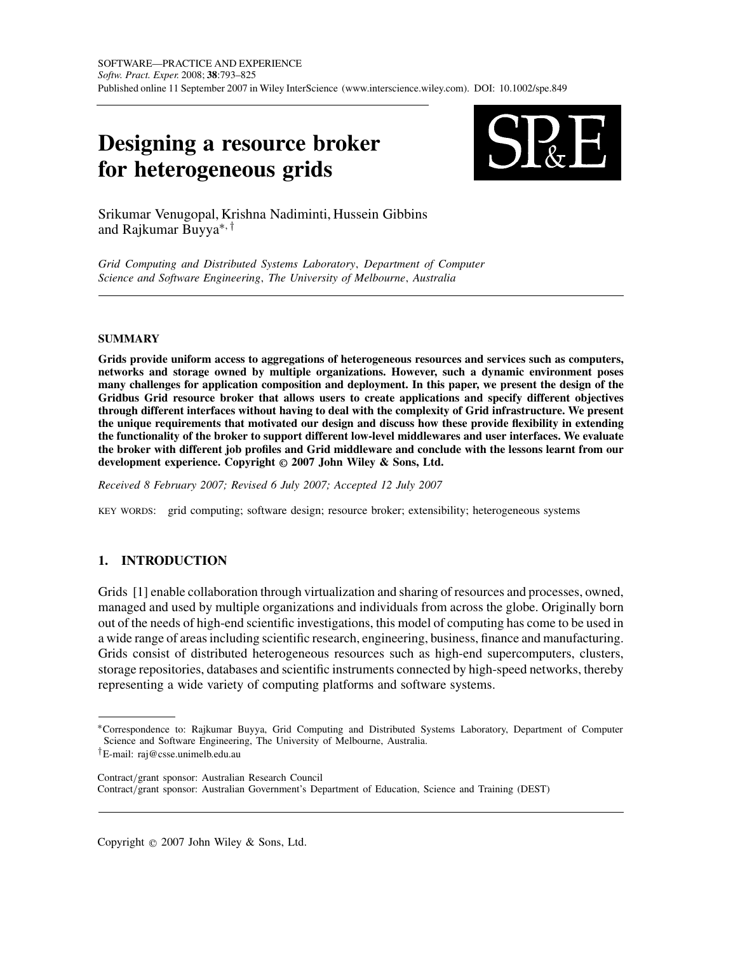# **Designing a resource broker for heterogeneous grids**



Srikumar Venugopal, Krishna Nadiminti, Hussein Gibbins and Rajkumar Buyya∗*, †*

*Grid Computing and Distributed Systems Laboratory, Department of Computer Science and Software Engineering, The University of Melbourne, Australia*

#### **SUMMARY**

**Grids provide uniform access to aggregations of heterogeneous resources and services such as computers, networks and storage owned by multiple organizations. However, such a dynamic environment poses many challenges for application composition and deployment. In this paper, we present the design of the Gridbus Grid resource broker that allows users to create applications and specify different objectives through different interfaces without having to deal with the complexity of Grid infrastructure. We present the unique requirements that motivated our design and discuss how these provide flexibility in extending the functionality of the broker to support different low-level middlewares and user interfaces. We evaluate the broker with different job profiles and Grid middleware and conclude with the lessons learnt from our development experience. Copyright © 2007 John Wiley & Sons, Ltd.**

*Received 8 February 2007; Revised 6 July 2007; Accepted 12 July 2007*

KEY WORDS: grid computing; software design; resource broker; extensibility; heterogeneous systems

# **1. INTRODUCTION**

Grids [1] enable collaboration through virtualization and sharing of resources and processes, owned, managed and used by multiple organizations and individuals from across the globe. Originally born out of the needs of high-end scientific investigations, this model of computing has come to be used in a wide range of areas including scientific research, engineering, business, finance and manufacturing. Grids consist of distributed heterogeneous resources such as high-end supercomputers, clusters, storage repositories, databases and scientific instruments connected by high-speed networks, thereby representing a wide variety of computing platforms and software systems.

Contract*/*grant sponsor: Australian Research Council Contract*/*grant sponsor: Australian Government's Department of Education, Science and Training (DEST)

<sup>∗</sup>Correspondence to: Rajkumar Buyya, Grid Computing and Distributed Systems Laboratory, Department of Computer Science and Software Engineering, The University of Melbourne, Australia.

*<sup>†</sup>*E-mail: raj@csse.unimelb.edu.au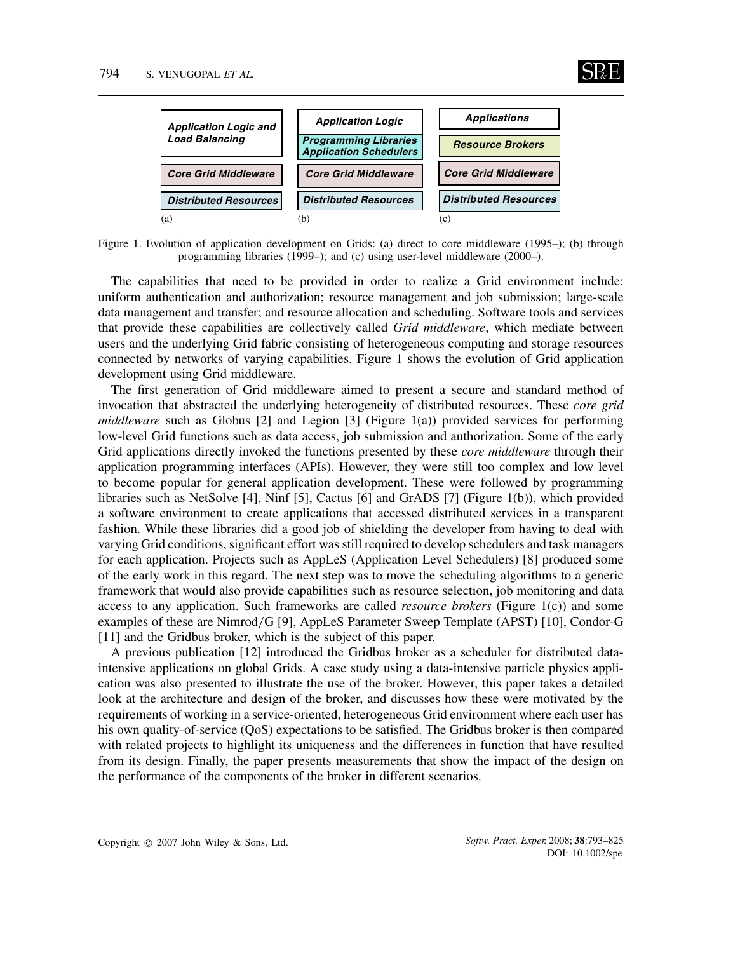

Figure 1. Evolution of application development on Grids: (a) direct to core middleware (1995–); (b) through programming libraries (1999–); and (c) using user-level middleware (2000–).

The capabilities that need to be provided in order to realize a Grid environment include: uniform authentication and authorization; resource management and job submission; large-scale data management and transfer; and resource allocation and scheduling. Software tools and services that provide these capabilities are collectively called *Grid middleware*, which mediate between users and the underlying Grid fabric consisting of heterogeneous computing and storage resources connected by networks of varying capabilities. Figure 1 shows the evolution of Grid application development using Grid middleware.

The first generation of Grid middleware aimed to present a secure and standard method of invocation that abstracted the underlying heterogeneity of distributed resources. These *core grid middleware* such as Globus [2] and Legion [3] (Figure 1(a)) provided services for performing low-level Grid functions such as data access, job submission and authorization. Some of the early Grid applications directly invoked the functions presented by these *core middleware* through their application programming interfaces (APIs). However, they were still too complex and low level to become popular for general application development. These were followed by programming libraries such as NetSolve [4], Ninf [5], Cactus [6] and GrADS [7] (Figure 1(b)), which provided a software environment to create applications that accessed distributed services in a transparent fashion. While these libraries did a good job of shielding the developer from having to deal with varying Grid conditions, significant effort was still required to develop schedulers and task managers for each application. Projects such as AppLeS (Application Level Schedulers) [8] produced some of the early work in this regard. The next step was to move the scheduling algorithms to a generic framework that would also provide capabilities such as resource selection, job monitoring and data access to any application. Such frameworks are called *resource brokers* (Figure 1(c)) and some examples of these are Nimrod*/*G [9], AppLeS Parameter Sweep Template (APST) [10], Condor-G [11] and the Gridbus broker, which is the subject of this paper.

A previous publication [12] introduced the Gridbus broker as a scheduler for distributed dataintensive applications on global Grids. A case study using a data-intensive particle physics application was also presented to illustrate the use of the broker. However, this paper takes a detailed look at the architecture and design of the broker, and discusses how these were motivated by the requirements of working in a service-oriented, heterogeneous Grid environment where each user has his own quality-of-service (QoS) expectations to be satisfied. The Gridbus broker is then compared with related projects to highlight its uniqueness and the differences in function that have resulted from its design. Finally, the paper presents measurements that show the impact of the design on the performance of the components of the broker in different scenarios.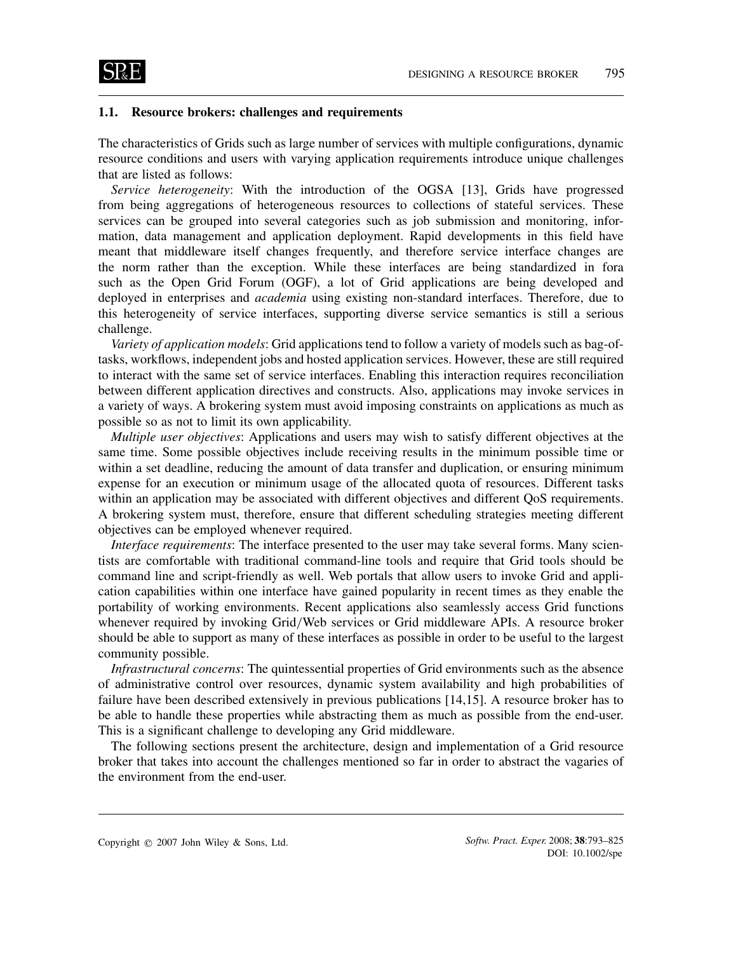#### **1.1. Resource brokers: challenges and requirements**

The characteristics of Grids such as large number of services with multiple configurations, dynamic resource conditions and users with varying application requirements introduce unique challenges that are listed as follows:

*Service heterogeneity*: With the introduction of the OGSA [13], Grids have progressed from being aggregations of heterogeneous resources to collections of stateful services. These services can be grouped into several categories such as job submission and monitoring, information, data management and application deployment. Rapid developments in this field have meant that middleware itself changes frequently, and therefore service interface changes are the norm rather than the exception. While these interfaces are being standardized in fora such as the Open Grid Forum (OGF), a lot of Grid applications are being developed and deployed in enterprises and *academia* using existing non-standard interfaces. Therefore, due to this heterogeneity of service interfaces, supporting diverse service semantics is still a serious challenge.

*Variety of application models*: Grid applications tend to follow a variety of models such as bag-oftasks, workflows, independent jobs and hosted application services. However, these are still required to interact with the same set of service interfaces. Enabling this interaction requires reconciliation between different application directives and constructs. Also, applications may invoke services in a variety of ways. A brokering system must avoid imposing constraints on applications as much as possible so as not to limit its own applicability.

*Multiple user objectives*: Applications and users may wish to satisfy different objectives at the same time. Some possible objectives include receiving results in the minimum possible time or within a set deadline, reducing the amount of data transfer and duplication, or ensuring minimum expense for an execution or minimum usage of the allocated quota of resources. Different tasks within an application may be associated with different objectives and different QoS requirements. A brokering system must, therefore, ensure that different scheduling strategies meeting different objectives can be employed whenever required.

*Interface requirements*: The interface presented to the user may take several forms. Many scientists are comfortable with traditional command-line tools and require that Grid tools should be command line and script-friendly as well. Web portals that allow users to invoke Grid and application capabilities within one interface have gained popularity in recent times as they enable the portability of working environments. Recent applications also seamlessly access Grid functions whenever required by invoking Grid*/*Web services or Grid middleware APIs. A resource broker should be able to support as many of these interfaces as possible in order to be useful to the largest community possible.

*Infrastructural concerns*: The quintessential properties of Grid environments such as the absence of administrative control over resources, dynamic system availability and high probabilities of failure have been described extensively in previous publications [14,15]. A resource broker has to be able to handle these properties while abstracting them as much as possible from the end-user. This is a significant challenge to developing any Grid middleware.

The following sections present the architecture, design and implementation of a Grid resource broker that takes into account the challenges mentioned so far in order to abstract the vagaries of the environment from the end-user.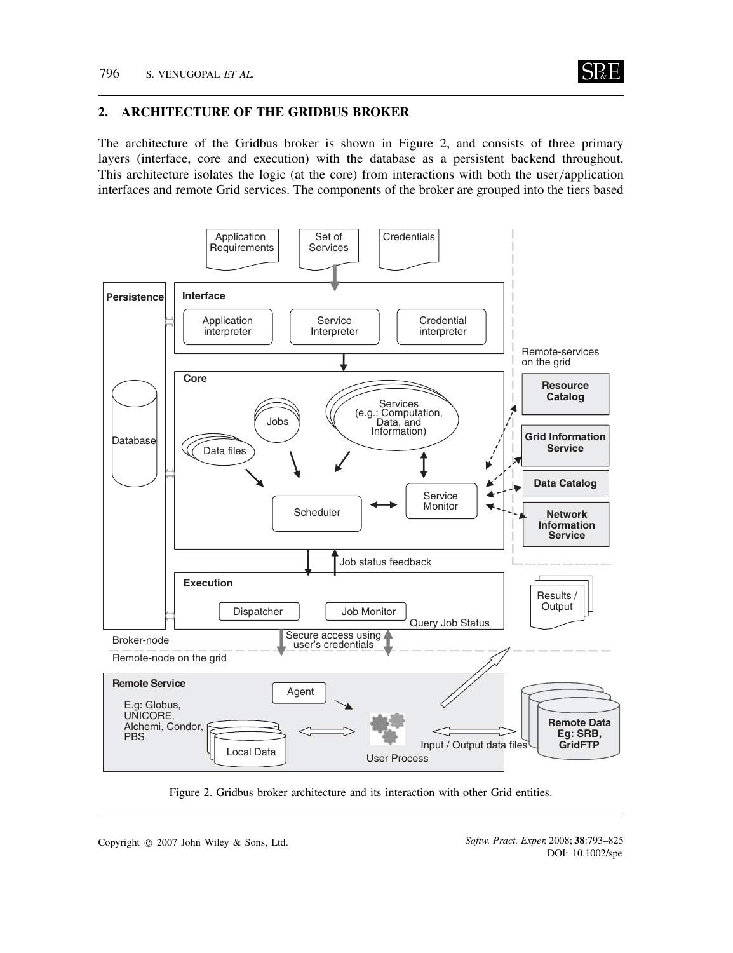

The architecture of the Gridbus broker is shown in Figure 2, and consists of three primary layers (interface, core and execution) with the database as a persistent backend throughout. This architecture isolates the logic (at the core) from interactions with both the user*/*application interfaces and remote Grid services. The components of the broker are grouped into the tiers based



Figure 2. Gridbus broker architecture and its interaction with other Grid entities.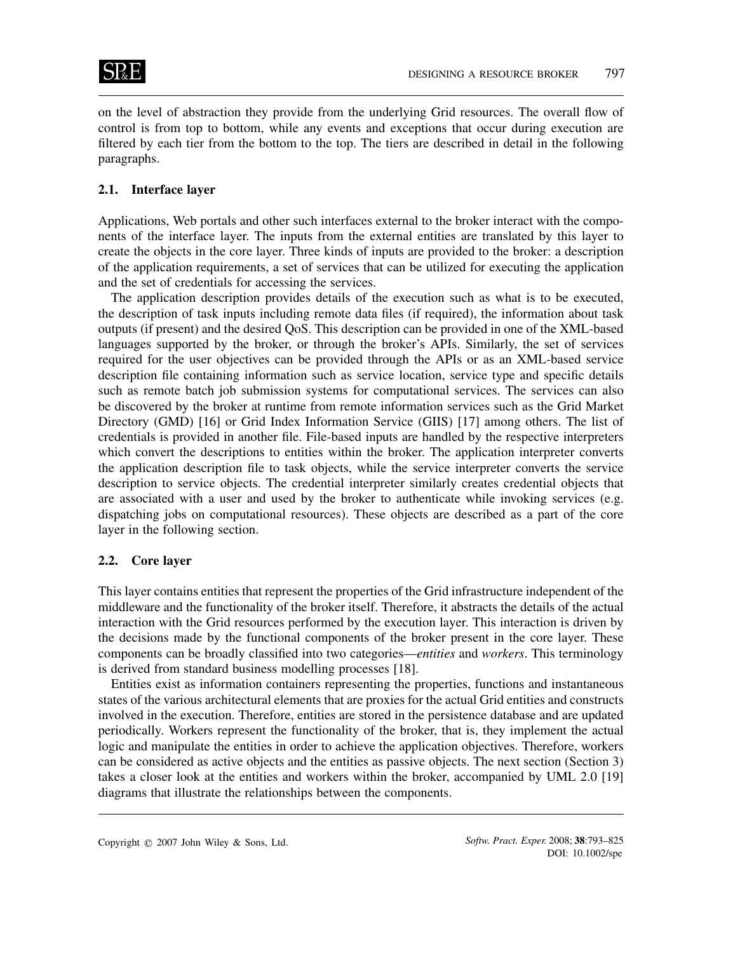on the level of abstraction they provide from the underlying Grid resources. The overall flow of control is from top to bottom, while any events and exceptions that occur during execution are filtered by each tier from the bottom to the top. The tiers are described in detail in the following paragraphs.

# **2.1. Interface layer**

Applications, Web portals and other such interfaces external to the broker interact with the components of the interface layer. The inputs from the external entities are translated by this layer to create the objects in the core layer. Three kinds of inputs are provided to the broker: a description of the application requirements, a set of services that can be utilized for executing the application and the set of credentials for accessing the services.

The application description provides details of the execution such as what is to be executed, the description of task inputs including remote data files (if required), the information about task outputs (if present) and the desired QoS. This description can be provided in one of the XML-based languages supported by the broker, or through the broker's APIs. Similarly, the set of services required for the user objectives can be provided through the APIs or as an XML-based service description file containing information such as service location, service type and specific details such as remote batch job submission systems for computational services. The services can also be discovered by the broker at runtime from remote information services such as the Grid Market Directory (GMD) [16] or Grid Index Information Service (GIIS) [17] among others. The list of credentials is provided in another file. File-based inputs are handled by the respective interpreters which convert the descriptions to entities within the broker. The application interpreter converts the application description file to task objects, while the service interpreter converts the service description to service objects. The credential interpreter similarly creates credential objects that are associated with a user and used by the broker to authenticate while invoking services (e.g. dispatching jobs on computational resources). These objects are described as a part of the core layer in the following section.

# **2.2. Core layer**

This layer contains entities that represent the properties of the Grid infrastructure independent of the middleware and the functionality of the broker itself. Therefore, it abstracts the details of the actual interaction with the Grid resources performed by the execution layer. This interaction is driven by the decisions made by the functional components of the broker present in the core layer. These components can be broadly classified into two categories—*entities* and *workers*. This terminology is derived from standard business modelling processes [18].

Entities exist as information containers representing the properties, functions and instantaneous states of the various architectural elements that are proxies for the actual Grid entities and constructs involved in the execution. Therefore, entities are stored in the persistence database and are updated periodically. Workers represent the functionality of the broker, that is, they implement the actual logic and manipulate the entities in order to achieve the application objectives. Therefore, workers can be considered as active objects and the entities as passive objects. The next section (Section 3) takes a closer look at the entities and workers within the broker, accompanied by UML 2.0 [19] diagrams that illustrate the relationships between the components.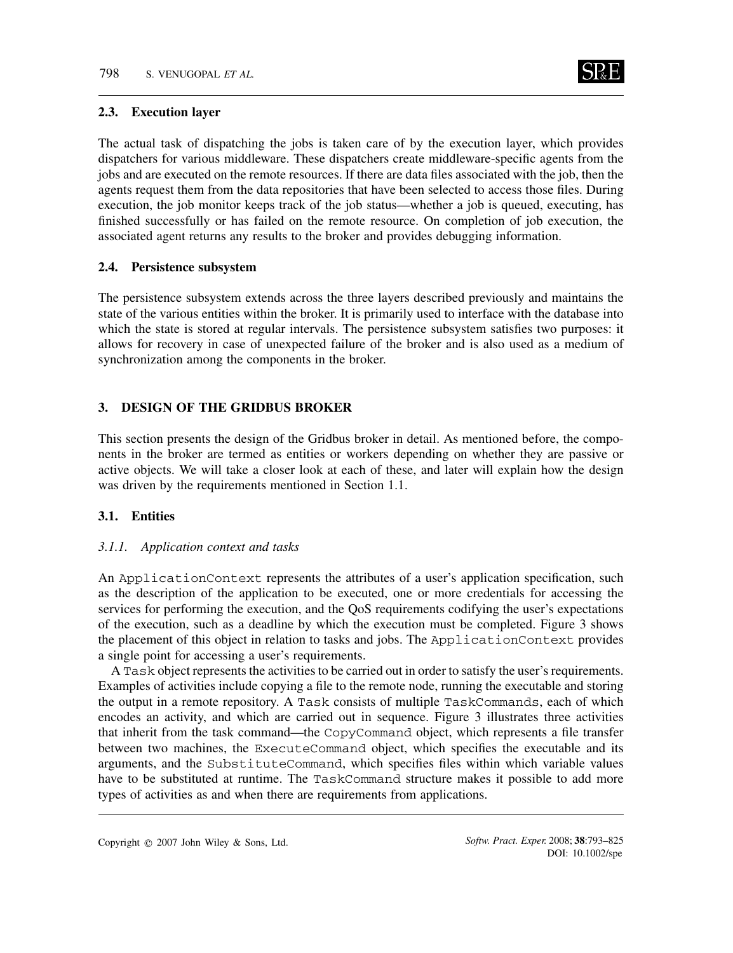

# **2.3. Execution layer**

The actual task of dispatching the jobs is taken care of by the execution layer, which provides dispatchers for various middleware. These dispatchers create middleware-specific agents from the jobs and are executed on the remote resources. If there are data files associated with the job, then the agents request them from the data repositories that have been selected to access those files. During execution, the job monitor keeps track of the job status—whether a job is queued, executing, has finished successfully or has failed on the remote resource. On completion of job execution, the associated agent returns any results to the broker and provides debugging information.

# **2.4. Persistence subsystem**

The persistence subsystem extends across the three layers described previously and maintains the state of the various entities within the broker. It is primarily used to interface with the database into which the state is stored at regular intervals. The persistence subsystem satisfies two purposes: it allows for recovery in case of unexpected failure of the broker and is also used as a medium of synchronization among the components in the broker.

# **3. DESIGN OF THE GRIDBUS BROKER**

This section presents the design of the Gridbus broker in detail. As mentioned before, the components in the broker are termed as entities or workers depending on whether they are passive or active objects. We will take a closer look at each of these, and later will explain how the design was driven by the requirements mentioned in Section 1.1.

# **3.1. Entities**

# *3.1.1. Application context and tasks*

An ApplicationContext represents the attributes of a user's application specification, such as the description of the application to be executed, one or more credentials for accessing the services for performing the execution, and the QoS requirements codifying the user's expectations of the execution, such as a deadline by which the execution must be completed. Figure 3 shows the placement of this object in relation to tasks and jobs. The ApplicationContext provides a single point for accessing a user's requirements.

A Task object represents the activities to be carried out in order to satisfy the user's requirements. Examples of activities include copying a file to the remote node, running the executable and storing the output in a remote repository. A Task consists of multiple TaskCommands, each of which encodes an activity, and which are carried out in sequence. Figure 3 illustrates three activities that inherit from the task command—the CopyCommand object, which represents a file transfer between two machines, the ExecuteCommand object, which specifies the executable and its arguments, and the SubstituteCommand, which specifies files within which variable values have to be substituted at runtime. The TaskCommand structure makes it possible to add more types of activities as and when there are requirements from applications.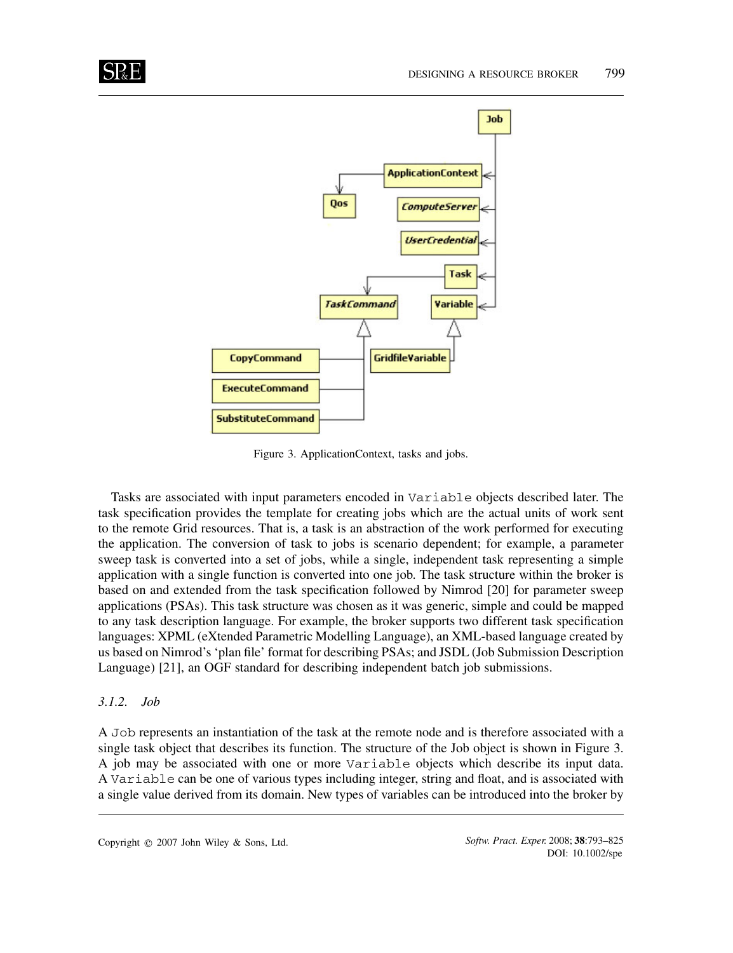

Figure 3. ApplicationContext, tasks and jobs.

Tasks are associated with input parameters encoded in Variable objects described later. The task specification provides the template for creating jobs which are the actual units of work sent to the remote Grid resources. That is, a task is an abstraction of the work performed for executing the application. The conversion of task to jobs is scenario dependent; for example, a parameter sweep task is converted into a set of jobs, while a single, independent task representing a simple application with a single function is converted into one job. The task structure within the broker is based on and extended from the task specification followed by Nimrod [20] for parameter sweep applications (PSAs). This task structure was chosen as it was generic, simple and could be mapped to any task description language. For example, the broker supports two different task specification languages: XPML (eXtended Parametric Modelling Language), an XML-based language created by us based on Nimrod's 'plan file' format for describing PSAs; and JSDL (Job Submission Description Language) [21], an OGF standard for describing independent batch job submissions.

# *3.1.2. Job*

A Job represents an instantiation of the task at the remote node and is therefore associated with a single task object that describes its function. The structure of the Job object is shown in Figure 3. A job may be associated with one or more Variable objects which describe its input data. A Variable can be one of various types including integer, string and float, and is associated with a single value derived from its domain. New types of variables can be introduced into the broker by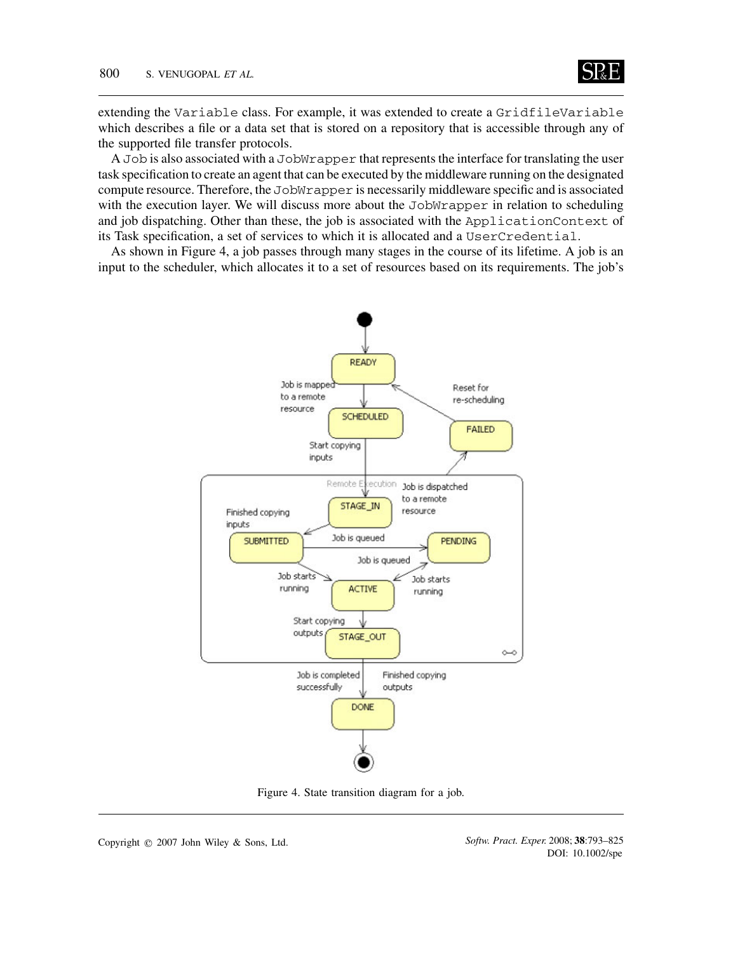extending the Variable class. For example, it was extended to create a GridfileVariable which describes a file or a data set that is stored on a repository that is accessible through any of the supported file transfer protocols.

A Job is also associated with a JobWrapper that represents the interface for translating the user task specification to create an agent that can be executed by the middleware running on the designated compute resource. Therefore, the JobWrapper is necessarily middleware specific and is associated with the execution layer. We will discuss more about the JobWrapper in relation to scheduling and job dispatching. Other than these, the job is associated with the ApplicationContext of its Task specification, a set of services to which it is allocated and a UserCredential.

As shown in Figure 4, a job passes through many stages in the course of its lifetime. A job is an input to the scheduler, which allocates it to a set of resources based on its requirements. The job's



Figure 4. State transition diagram for a job.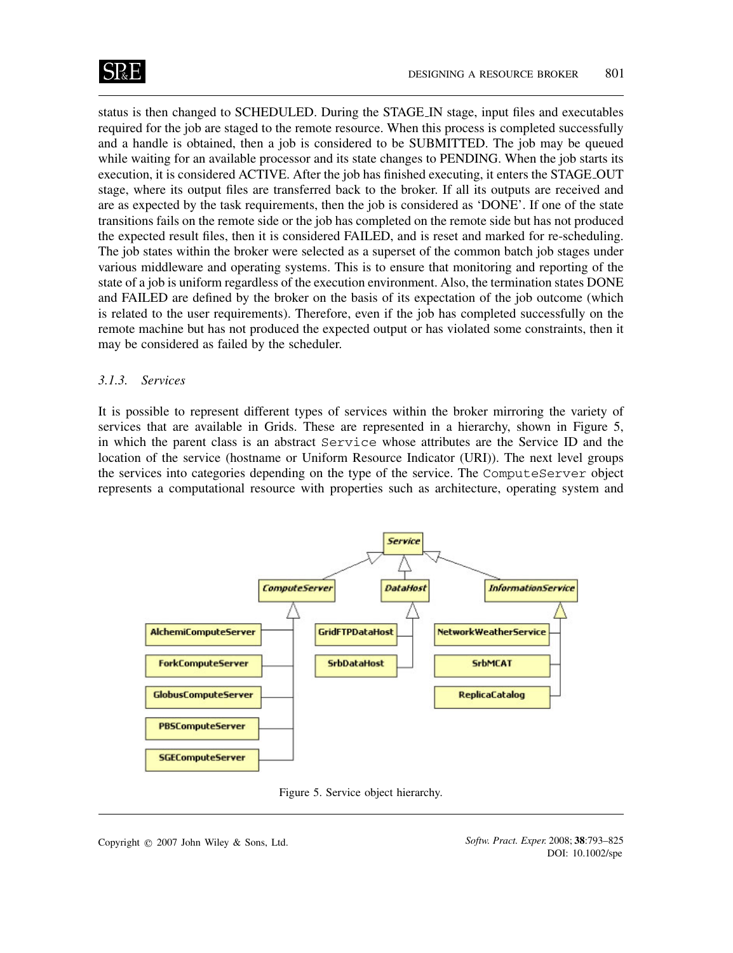status is then changed to SCHEDULED. During the STAGE IN stage, input files and executables required for the job are staged to the remote resource. When this process is completed successfully and a handle is obtained, then a job is considered to be SUBMITTED. The job may be queued while waiting for an available processor and its state changes to PENDING. When the job starts its execution, it is considered ACTIVE. After the job has finished executing, it enters the STAGE OUT stage, where its output files are transferred back to the broker. If all its outputs are received and are as expected by the task requirements, then the job is considered as 'DONE'. If one of the state transitions fails on the remote side or the job has completed on the remote side but has not produced the expected result files, then it is considered FAILED, and is reset and marked for re-scheduling. The job states within the broker were selected as a superset of the common batch job stages under various middleware and operating systems. This is to ensure that monitoring and reporting of the state of a job is uniform regardless of the execution environment. Also, the termination states DONE and FAILED are defined by the broker on the basis of its expectation of the job outcome (which is related to the user requirements). Therefore, even if the job has completed successfully on the remote machine but has not produced the expected output or has violated some constraints, then it may be considered as failed by the scheduler.

# *3.1.3. Services*

It is possible to represent different types of services within the broker mirroring the variety of services that are available in Grids. These are represented in a hierarchy, shown in Figure 5, in which the parent class is an abstract Service whose attributes are the Service ID and the location of the service (hostname or Uniform Resource Indicator (URI)). The next level groups the services into categories depending on the type of the service. The ComputeServer object represents a computational resource with properties such as architecture, operating system and



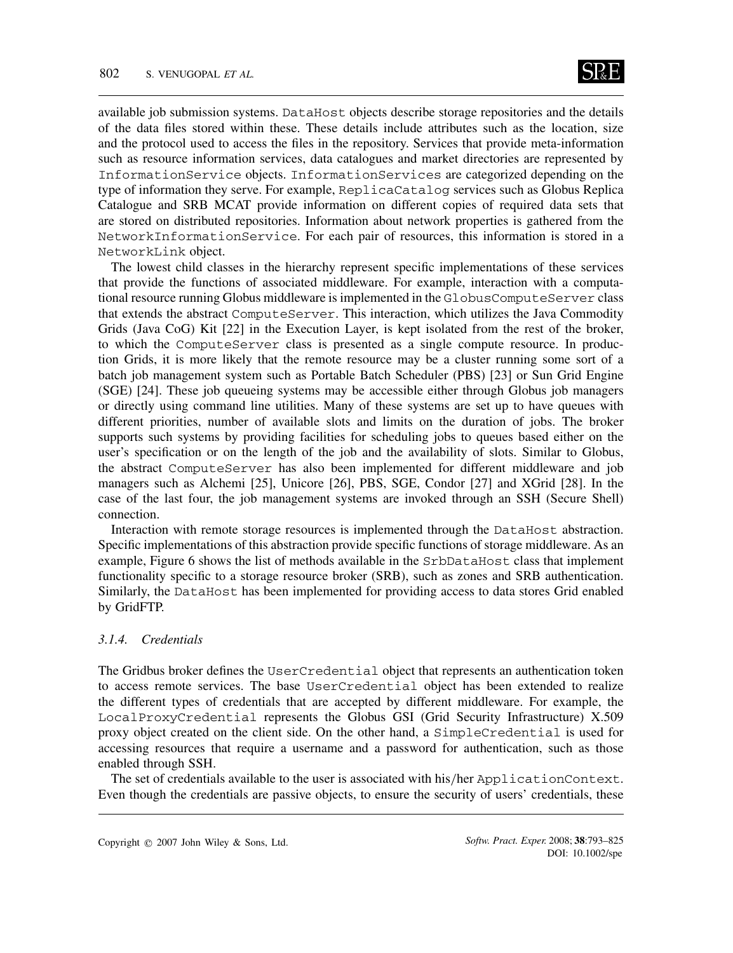available job submission systems. DataHost objects describe storage repositories and the details of the data files stored within these. These details include attributes such as the location, size and the protocol used to access the files in the repository. Services that provide meta-information such as resource information services, data catalogues and market directories are represented by InformationService objects. InformationServices are categorized depending on the type of information they serve. For example, ReplicaCatalog services such as Globus Replica Catalogue and SRB MCAT provide information on different copies of required data sets that are stored on distributed repositories. Information about network properties is gathered from the NetworkInformationService. For each pair of resources, this information is stored in a NetworkLink object.

The lowest child classes in the hierarchy represent specific implementations of these services that provide the functions of associated middleware. For example, interaction with a computational resource running Globus middleware is implemented in the GlobusComputeServer class that extends the abstract ComputeServer. This interaction, which utilizes the Java Commodity Grids (Java CoG) Kit [22] in the Execution Layer, is kept isolated from the rest of the broker, to which the ComputeServer class is presented as a single compute resource. In production Grids, it is more likely that the remote resource may be a cluster running some sort of a batch job management system such as Portable Batch Scheduler (PBS) [23] or Sun Grid Engine (SGE) [24]. These job queueing systems may be accessible either through Globus job managers or directly using command line utilities. Many of these systems are set up to have queues with different priorities, number of available slots and limits on the duration of jobs. The broker supports such systems by providing facilities for scheduling jobs to queues based either on the user's specification or on the length of the job and the availability of slots. Similar to Globus, the abstract ComputeServer has also been implemented for different middleware and job managers such as Alchemi [25], Unicore [26], PBS, SGE, Condor [27] and XGrid [28]. In the case of the last four, the job management systems are invoked through an SSH (Secure Shell) connection.

Interaction with remote storage resources is implemented through the DataHost abstraction. Specific implementations of this abstraction provide specific functions of storage middleware. As an example, Figure 6 shows the list of methods available in the SrbDataHost class that implement functionality specific to a storage resource broker (SRB), such as zones and SRB authentication. Similarly, the DataHost has been implemented for providing access to data stores Grid enabled by GridFTP.

#### *3.1.4. Credentials*

The Gridbus broker defines the UserCredential object that represents an authentication token to access remote services. The base UserCredential object has been extended to realize the different types of credentials that are accepted by different middleware. For example, the LocalProxyCredential represents the Globus GSI (Grid Security Infrastructure) X.509 proxy object created on the client side. On the other hand, a SimpleCredential is used for accessing resources that require a username and a password for authentication, such as those enabled through SSH.

The set of credentials available to the user is associated with his*/*her ApplicationContext. Even though the credentials are passive objects, to ensure the security of users' credentials, these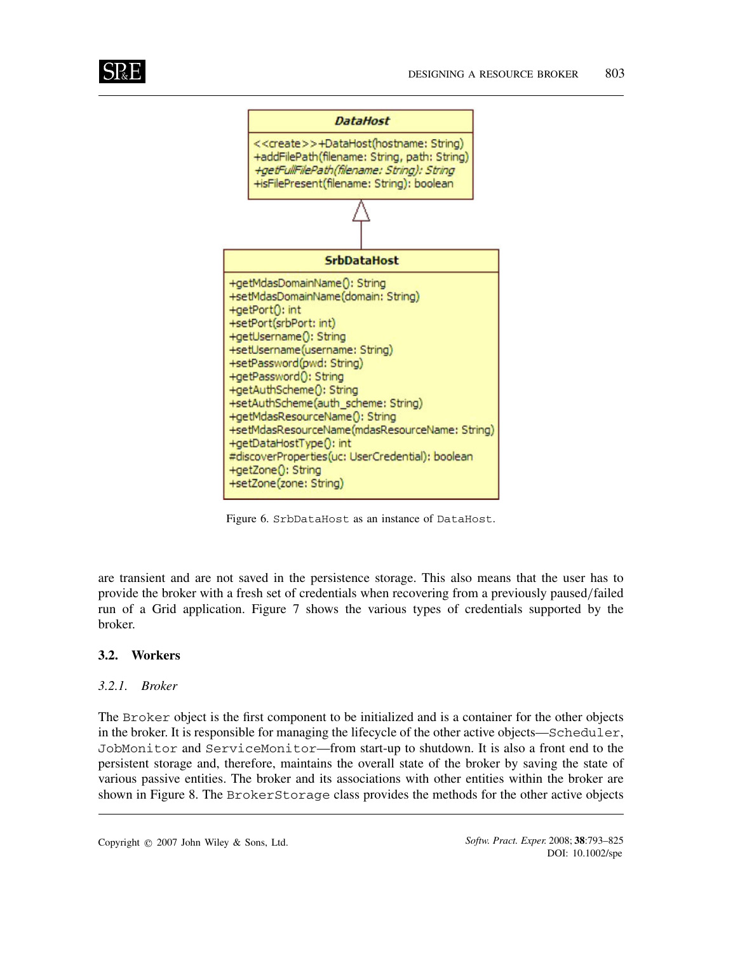

Figure 6. SrbDataHost as an instance of DataHost.

are transient and are not saved in the persistence storage. This also means that the user has to provide the broker with a fresh set of credentials when recovering from a previously paused*/*failed run of a Grid application. Figure 7 shows the various types of credentials supported by the broker.

# **3.2. Workers**

# *3.2.1. Broker*

The Broker object is the first component to be initialized and is a container for the other objects in the broker. It is responsible for managing the lifecycle of the other active objects—Scheduler, JobMonitor and ServiceMonitor—from start-up to shutdown. It is also a front end to the persistent storage and, therefore, maintains the overall state of the broker by saving the state of various passive entities. The broker and its associations with other entities within the broker are shown in Figure 8. The BrokerStorage class provides the methods for the other active objects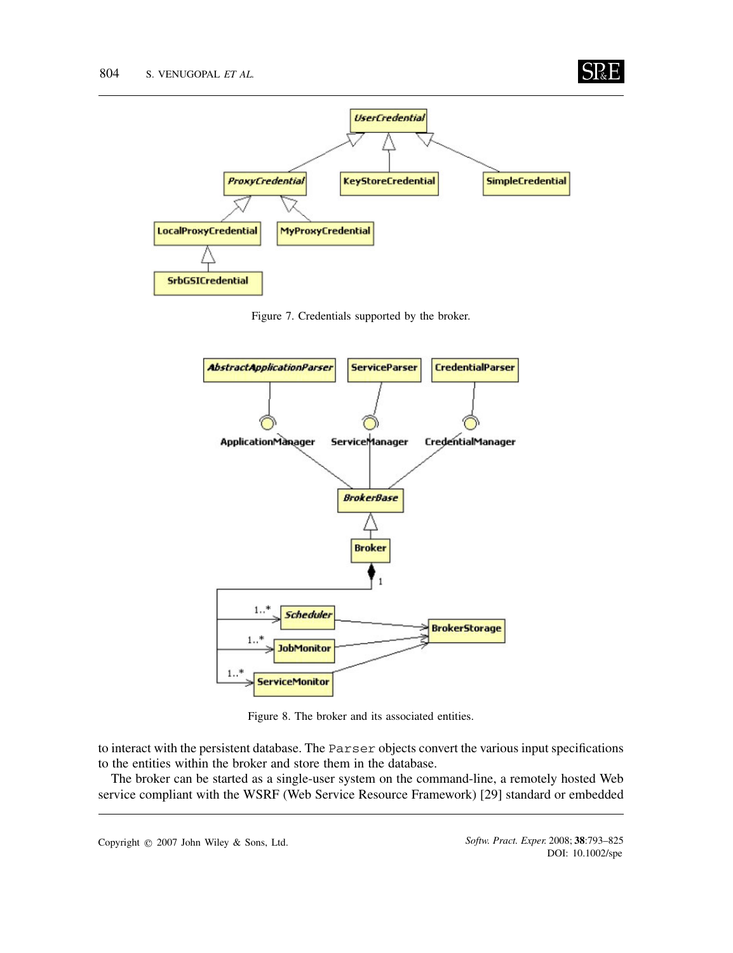

Figure 7. Credentials supported by the broker.



Figure 8. The broker and its associated entities.

to interact with the persistent database. The Parser objects convert the various input specifications to the entities within the broker and store them in the database.

The broker can be started as a single-user system on the command-line, a remotely hosted Web service compliant with the WSRF (Web Service Resource Framework) [29] standard or embedded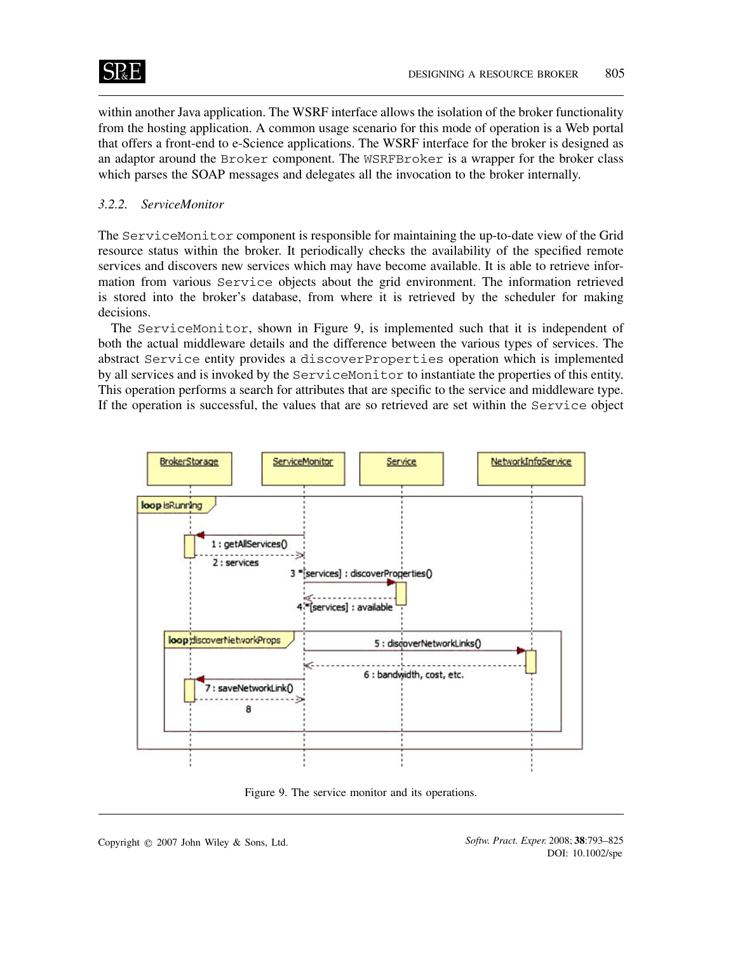within another Java application. The WSRF interface allows the isolation of the broker functionality from the hosting application. A common usage scenario for this mode of operation is a Web portal that offers a front-end to e-Science applications. The WSRF interface for the broker is designed as an adaptor around the Broker component. The WSRFBroker is a wrapper for the broker class which parses the SOAP messages and delegates all the invocation to the broker internally.

# *3.2.2. ServiceMonitor*

The ServiceMonitor component is responsible for maintaining the up-to-date view of the Grid resource status within the broker. It periodically checks the availability of the specified remote services and discovers new services which may have become available. It is able to retrieve information from various Service objects about the grid environment. The information retrieved is stored into the broker's database, from where it is retrieved by the scheduler for making decisions.

The ServiceMonitor, shown in Figure 9, is implemented such that it is independent of both the actual middleware details and the difference between the various types of services. The abstract Service entity provides a discoverProperties operation which is implemented by all services and is invoked by the ServiceMonitor to instantiate the properties of this entity. This operation performs a search for attributes that are specific to the service and middleware type. If the operation is successful, the values that are so retrieved are set within the Service object



Figure 9. The service monitor and its operations.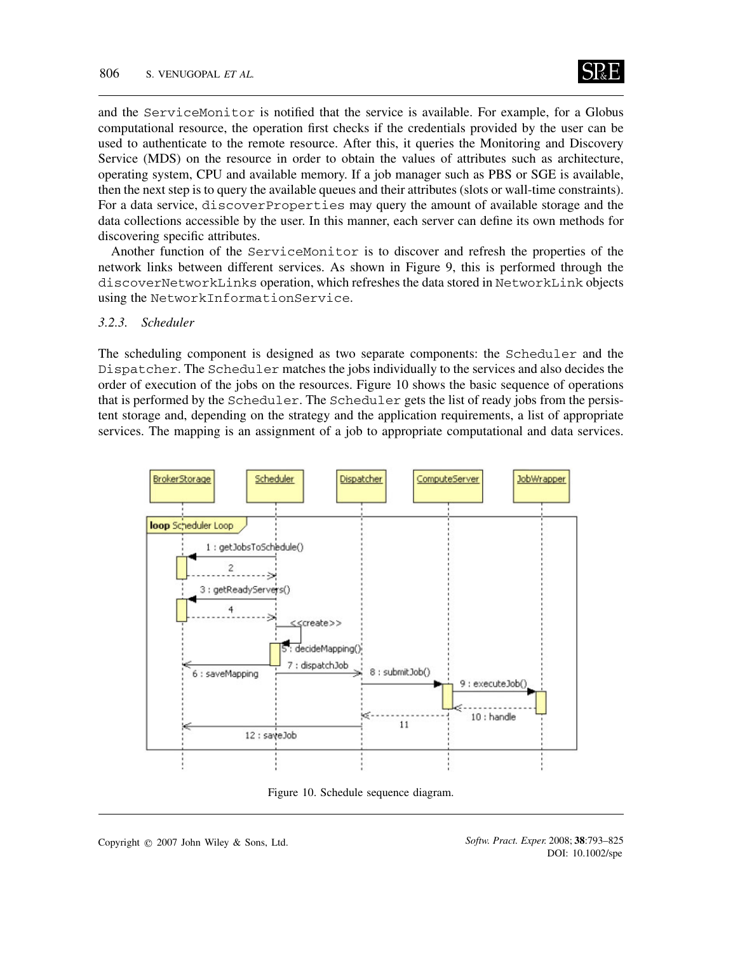and the ServiceMonitor is notified that the service is available. For example, for a Globus computational resource, the operation first checks if the credentials provided by the user can be used to authenticate to the remote resource. After this, it queries the Monitoring and Discovery Service (MDS) on the resource in order to obtain the values of attributes such as architecture, operating system, CPU and available memory. If a job manager such as PBS or SGE is available, then the next step is to query the available queues and their attributes (slots or wall-time constraints). For a data service, discoverProperties may query the amount of available storage and the data collections accessible by the user. In this manner, each server can define its own methods for discovering specific attributes.

Another function of the ServiceMonitor is to discover and refresh the properties of the network links between different services. As shown in Figure 9, this is performed through the discoverNetworkLinks operation, which refreshes the data stored in NetworkLink objects using the NetworkInformationService.

#### *3.2.3. Scheduler*

The scheduling component is designed as two separate components: the Scheduler and the Dispatcher. The Scheduler matches the jobs individually to the services and also decides the order of execution of the jobs on the resources. Figure 10 shows the basic sequence of operations that is performed by the Scheduler. The Scheduler gets the list of ready jobs from the persistent storage and, depending on the strategy and the application requirements, a list of appropriate services. The mapping is an assignment of a job to appropriate computational and data services.



Figure 10. Schedule sequence diagram.

DOI: 10.1002/spe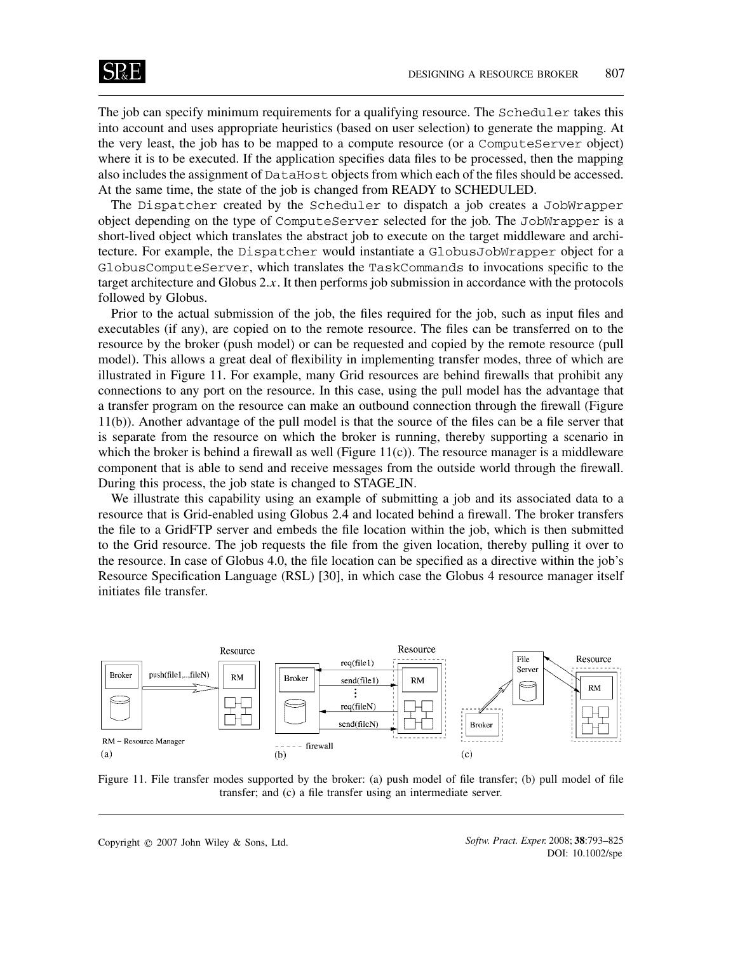The job can specify minimum requirements for a qualifying resource. The Scheduler takes this into account and uses appropriate heuristics (based on user selection) to generate the mapping. At the very least, the job has to be mapped to a compute resource (or a ComputeServer object) where it is to be executed. If the application specifies data files to be processed, then the mapping also includes the assignment of DataHost objects from which each of the files should be accessed. At the same time, the state of the job is changed from READY to SCHEDULED.

The Dispatcher created by the Scheduler to dispatch a job creates a JobWrapper object depending on the type of ComputeServer selected for the job. The JobWrapper is a short-lived object which translates the abstract job to execute on the target middleware and architecture. For example, the Dispatcher would instantiate a GlobusJobWrapper object for a GlobusComputeServer, which translates the TaskCommands to invocations specific to the target architecture and Globus 2*.x*. It then performs job submission in accordance with the protocols followed by Globus.

Prior to the actual submission of the job, the files required for the job, such as input files and executables (if any), are copied on to the remote resource. The files can be transferred on to the resource by the broker (push model) or can be requested and copied by the remote resource (pull model). This allows a great deal of flexibility in implementing transfer modes, three of which are illustrated in Figure 11. For example, many Grid resources are behind firewalls that prohibit any connections to any port on the resource. In this case, using the pull model has the advantage that a transfer program on the resource can make an outbound connection through the firewall (Figure 11(b)). Another advantage of the pull model is that the source of the files can be a file server that is separate from the resource on which the broker is running, thereby supporting a scenario in which the broker is behind a firewall as well (Figure  $11(c)$ ). The resource manager is a middleware component that is able to send and receive messages from the outside world through the firewall. During this process, the job state is changed to STAGE IN.

We illustrate this capability using an example of submitting a job and its associated data to a resource that is Grid-enabled using Globus 2.4 and located behind a firewall. The broker transfers the file to a GridFTP server and embeds the file location within the job, which is then submitted to the Grid resource. The job requests the file from the given location, thereby pulling it over to the resource. In case of Globus 4.0, the file location can be specified as a directive within the job's Resource Specification Language (RSL) [30], in which case the Globus 4 resource manager itself initiates file transfer.



Figure 11. File transfer modes supported by the broker: (a) push model of file transfer; (b) pull model of file transfer; and (c) a file transfer using an intermediate server.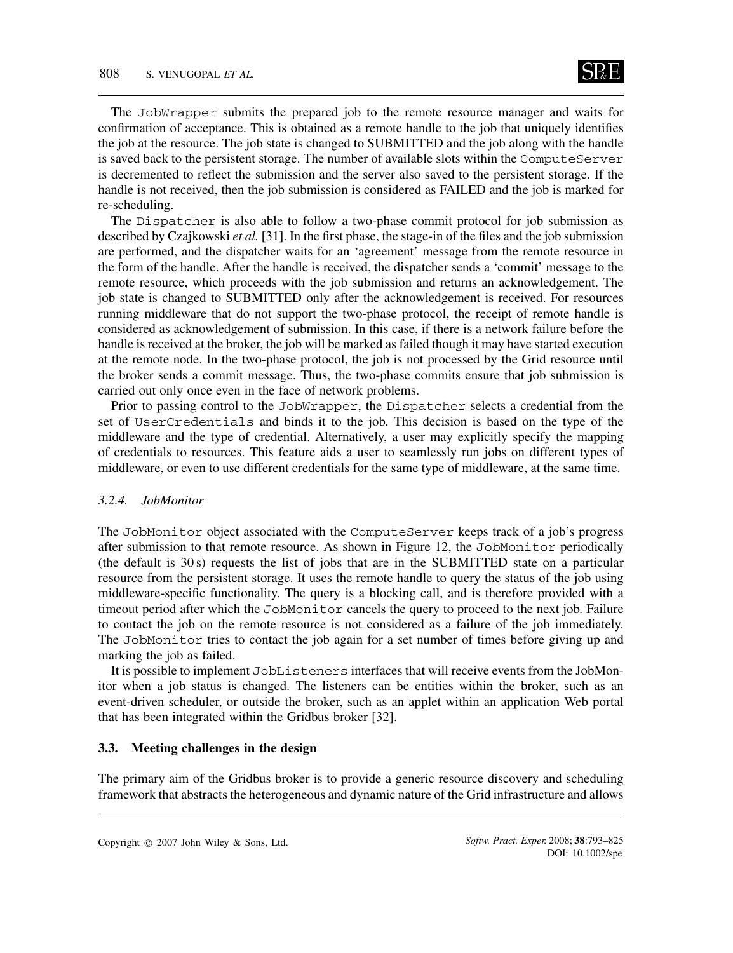The JobWrapper submits the prepared job to the remote resource manager and waits for confirmation of acceptance. This is obtained as a remote handle to the job that uniquely identifies the job at the resource. The job state is changed to SUBMITTED and the job along with the handle is saved back to the persistent storage. The number of available slots within the ComputeServer is decremented to reflect the submission and the server also saved to the persistent storage. If the handle is not received, then the job submission is considered as FAILED and the job is marked for re-scheduling.

The Dispatcher is also able to follow a two-phase commit protocol for job submission as described by Czajkowski *et al.* [31]. In the first phase, the stage-in of the files and the job submission are performed, and the dispatcher waits for an 'agreement' message from the remote resource in the form of the handle. After the handle is received, the dispatcher sends a 'commit' message to the remote resource, which proceeds with the job submission and returns an acknowledgement. The job state is changed to SUBMITTED only after the acknowledgement is received. For resources running middleware that do not support the two-phase protocol, the receipt of remote handle is considered as acknowledgement of submission. In this case, if there is a network failure before the handle is received at the broker, the job will be marked as failed though it may have started execution at the remote node. In the two-phase protocol, the job is not processed by the Grid resource until the broker sends a commit message. Thus, the two-phase commits ensure that job submission is carried out only once even in the face of network problems.

Prior to passing control to the JobWrapper, the Dispatcher selects a credential from the set of UserCredentials and binds it to the job. This decision is based on the type of the middleware and the type of credential. Alternatively, a user may explicitly specify the mapping of credentials to resources. This feature aids a user to seamlessly run jobs on different types of middleware, or even to use different credentials for the same type of middleware, at the same time.

#### *3.2.4. JobMonitor*

The JobMonitor object associated with the ComputeServer keeps track of a job's progress after submission to that remote resource. As shown in Figure 12, the JobMonitor periodically (the default is 30 s) requests the list of jobs that are in the SUBMITTED state on a particular resource from the persistent storage. It uses the remote handle to query the status of the job using middleware-specific functionality. The query is a blocking call, and is therefore provided with a timeout period after which the JobMonitor cancels the query to proceed to the next job. Failure to contact the job on the remote resource is not considered as a failure of the job immediately. The JobMonitor tries to contact the job again for a set number of times before giving up and marking the job as failed.

It is possible to implement JobListeners interfaces that will receive events from the JobMonitor when a job status is changed. The listeners can be entities within the broker, such as an event-driven scheduler, or outside the broker, such as an applet within an application Web portal that has been integrated within the Gridbus broker [32].

#### **3.3. Meeting challenges in the design**

The primary aim of the Gridbus broker is to provide a generic resource discovery and scheduling framework that abstracts the heterogeneous and dynamic nature of the Grid infrastructure and allows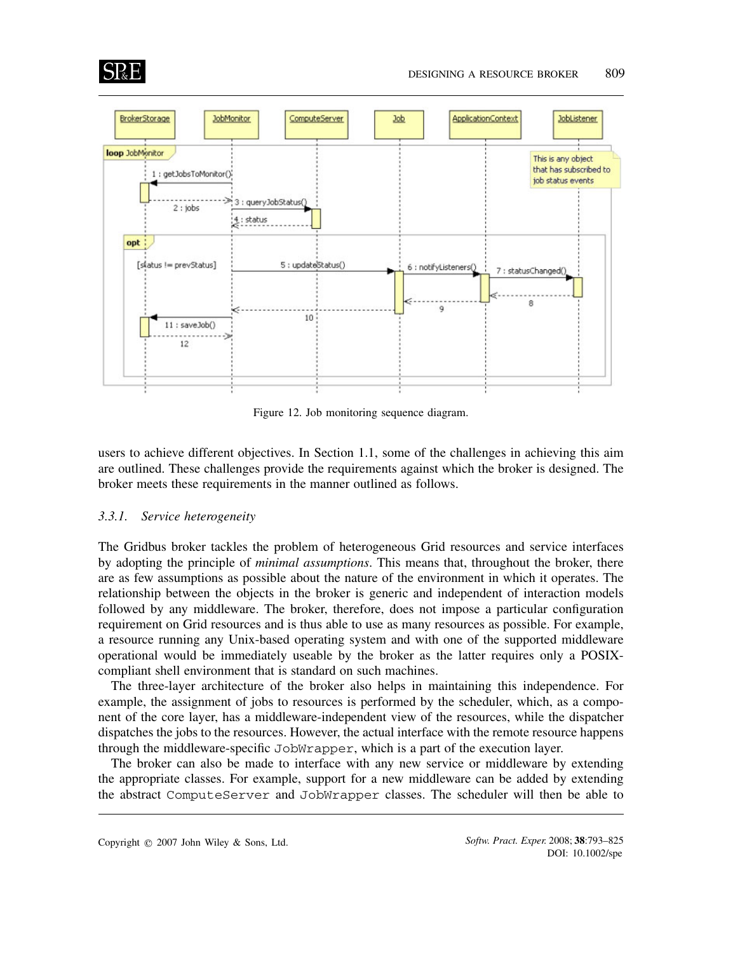



Figure 12. Job monitoring sequence diagram.

users to achieve different objectives. In Section 1.1, some of the challenges in achieving this aim are outlined. These challenges provide the requirements against which the broker is designed. The broker meets these requirements in the manner outlined as follows.

# *3.3.1. Service heterogeneity*

The Gridbus broker tackles the problem of heterogeneous Grid resources and service interfaces by adopting the principle of *minimal assumptions*. This means that, throughout the broker, there are as few assumptions as possible about the nature of the environment in which it operates. The relationship between the objects in the broker is generic and independent of interaction models followed by any middleware. The broker, therefore, does not impose a particular configuration requirement on Grid resources and is thus able to use as many resources as possible. For example, a resource running any Unix-based operating system and with one of the supported middleware operational would be immediately useable by the broker as the latter requires only a POSIXcompliant shell environment that is standard on such machines.

The three-layer architecture of the broker also helps in maintaining this independence. For example, the assignment of jobs to resources is performed by the scheduler, which, as a component of the core layer, has a middleware-independent view of the resources, while the dispatcher dispatches the jobs to the resources. However, the actual interface with the remote resource happens through the middleware-specific JobWrapper, which is a part of the execution layer.

The broker can also be made to interface with any new service or middleware by extending the appropriate classes. For example, support for a new middleware can be added by extending the abstract ComputeServer and JobWrapper classes. The scheduler will then be able to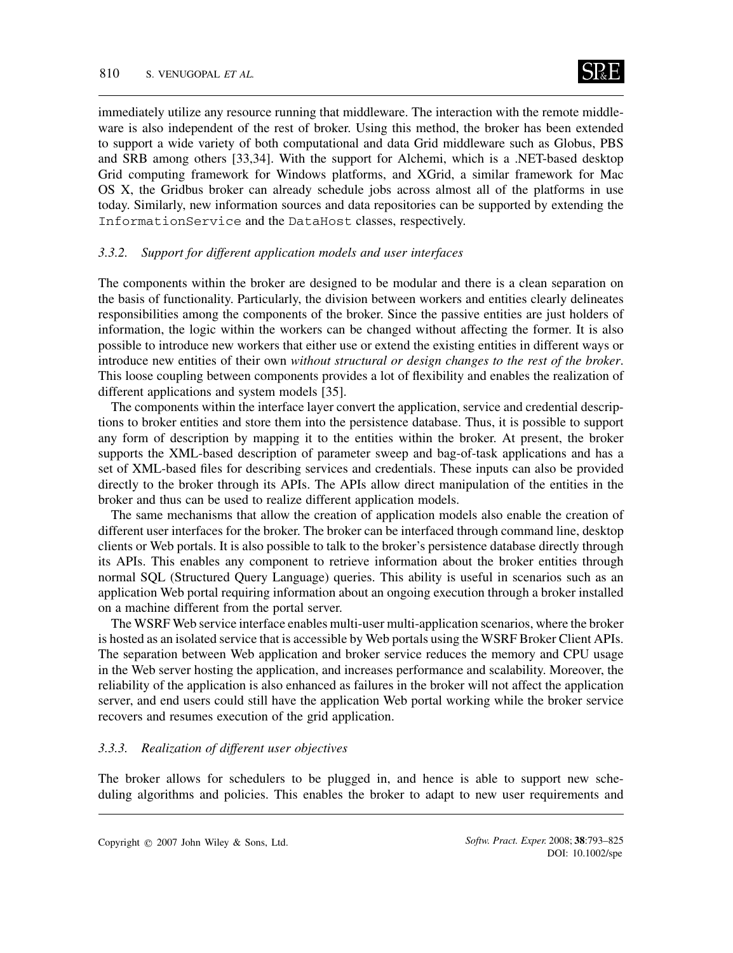immediately utilize any resource running that middleware. The interaction with the remote middleware is also independent of the rest of broker. Using this method, the broker has been extended to support a wide variety of both computational and data Grid middleware such as Globus, PBS and SRB among others [33,34]. With the support for Alchemi, which is a .NET-based desktop Grid computing framework for Windows platforms, and XGrid, a similar framework for Mac OS X, the Gridbus broker can already schedule jobs across almost all of the platforms in use today. Similarly, new information sources and data repositories can be supported by extending the InformationService and the DataHost classes, respectively.

#### *3.3.2. Support for different application models and user interfaces*

The components within the broker are designed to be modular and there is a clean separation on the basis of functionality. Particularly, the division between workers and entities clearly delineates responsibilities among the components of the broker. Since the passive entities are just holders of information, the logic within the workers can be changed without affecting the former. It is also possible to introduce new workers that either use or extend the existing entities in different ways or introduce new entities of their own *without structural or design changes to the rest of the broker*. This loose coupling between components provides a lot of flexibility and enables the realization of different applications and system models [35].

The components within the interface layer convert the application, service and credential descriptions to broker entities and store them into the persistence database. Thus, it is possible to support any form of description by mapping it to the entities within the broker. At present, the broker supports the XML-based description of parameter sweep and bag-of-task applications and has a set of XML-based files for describing services and credentials. These inputs can also be provided directly to the broker through its APIs. The APIs allow direct manipulation of the entities in the broker and thus can be used to realize different application models.

The same mechanisms that allow the creation of application models also enable the creation of different user interfaces for the broker. The broker can be interfaced through command line, desktop clients or Web portals. It is also possible to talk to the broker's persistence database directly through its APIs. This enables any component to retrieve information about the broker entities through normal SQL (Structured Query Language) queries. This ability is useful in scenarios such as an application Web portal requiring information about an ongoing execution through a broker installed on a machine different from the portal server.

The WSRF Web service interface enables multi-user multi-application scenarios, where the broker is hosted as an isolated service that is accessible by Web portals using the WSRF Broker Client APIs. The separation between Web application and broker service reduces the memory and CPU usage in the Web server hosting the application, and increases performance and scalability. Moreover, the reliability of the application is also enhanced as failures in the broker will not affect the application server, and end users could still have the application Web portal working while the broker service recovers and resumes execution of the grid application.

# *3.3.3. Realization of different user objectives*

The broker allows for schedulers to be plugged in, and hence is able to support new scheduling algorithms and policies. This enables the broker to adapt to new user requirements and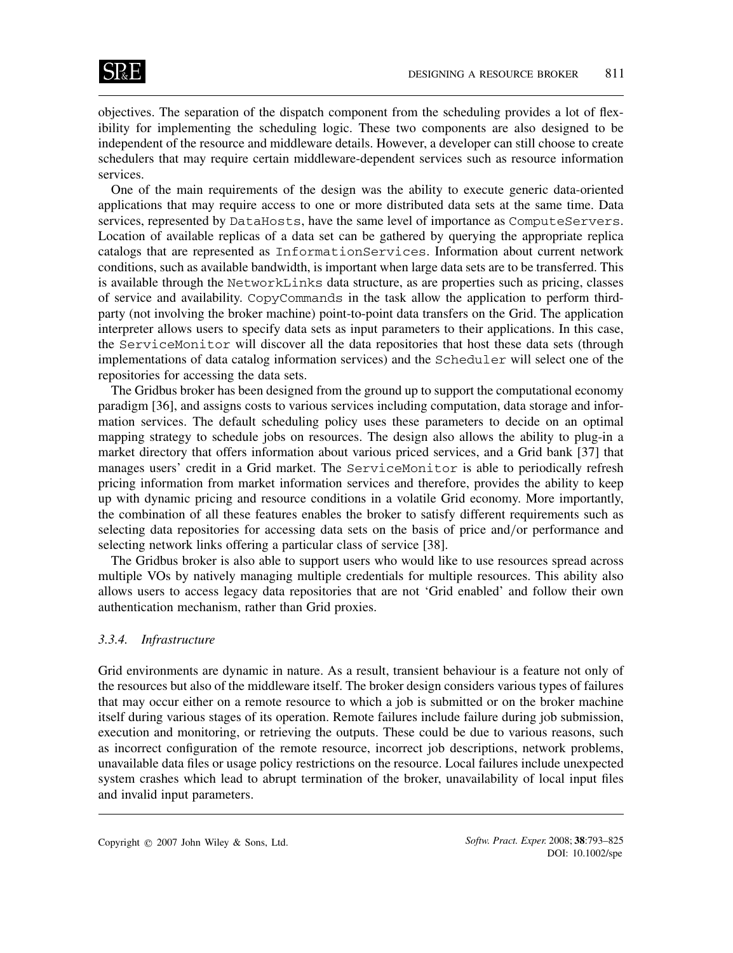objectives. The separation of the dispatch component from the scheduling provides a lot of flexibility for implementing the scheduling logic. These two components are also designed to be independent of the resource and middleware details. However, a developer can still choose to create schedulers that may require certain middleware-dependent services such as resource information services.

One of the main requirements of the design was the ability to execute generic data-oriented applications that may require access to one or more distributed data sets at the same time. Data services, represented by DataHosts, have the same level of importance as ComputeServers. Location of available replicas of a data set can be gathered by querying the appropriate replica catalogs that are represented as InformationServices. Information about current network conditions, such as available bandwidth, is important when large data sets are to be transferred. This is available through the NetworkLinks data structure, as are properties such as pricing, classes of service and availability. CopyCommands in the task allow the application to perform thirdparty (not involving the broker machine) point-to-point data transfers on the Grid. The application interpreter allows users to specify data sets as input parameters to their applications. In this case, the ServiceMonitor will discover all the data repositories that host these data sets (through implementations of data catalog information services) and the Scheduler will select one of the repositories for accessing the data sets.

The Gridbus broker has been designed from the ground up to support the computational economy paradigm [36], and assigns costs to various services including computation, data storage and information services. The default scheduling policy uses these parameters to decide on an optimal mapping strategy to schedule jobs on resources. The design also allows the ability to plug-in a market directory that offers information about various priced services, and a Grid bank [37] that manages users' credit in a Grid market. The ServiceMonitor is able to periodically refresh pricing information from market information services and therefore, provides the ability to keep up with dynamic pricing and resource conditions in a volatile Grid economy. More importantly, the combination of all these features enables the broker to satisfy different requirements such as selecting data repositories for accessing data sets on the basis of price and*/*or performance and selecting network links offering a particular class of service [38].

The Gridbus broker is also able to support users who would like to use resources spread across multiple VOs by natively managing multiple credentials for multiple resources. This ability also allows users to access legacy data repositories that are not 'Grid enabled' and follow their own authentication mechanism, rather than Grid proxies.

# *3.3.4. Infrastructure*

Grid environments are dynamic in nature. As a result, transient behaviour is a feature not only of the resources but also of the middleware itself. The broker design considers various types of failures that may occur either on a remote resource to which a job is submitted or on the broker machine itself during various stages of its operation. Remote failures include failure during job submission, execution and monitoring, or retrieving the outputs. These could be due to various reasons, such as incorrect configuration of the remote resource, incorrect job descriptions, network problems, unavailable data files or usage policy restrictions on the resource. Local failures include unexpected system crashes which lead to abrupt termination of the broker, unavailability of local input files and invalid input parameters.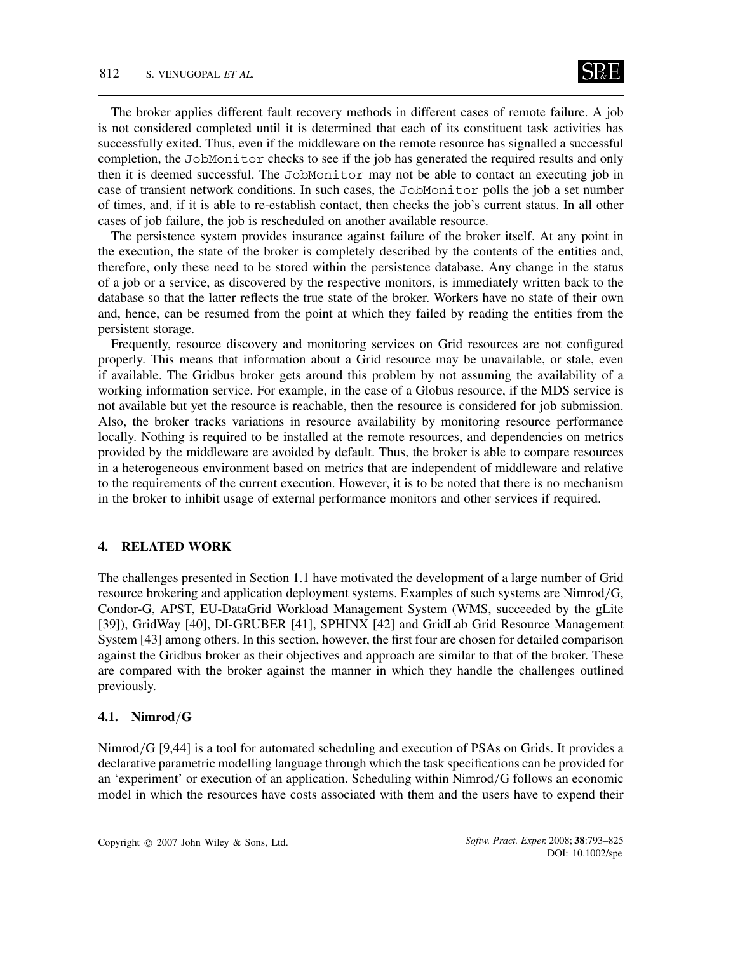The broker applies different fault recovery methods in different cases of remote failure. A job is not considered completed until it is determined that each of its constituent task activities has successfully exited. Thus, even if the middleware on the remote resource has signalled a successful completion, the JobMonitor checks to see if the job has generated the required results and only then it is deemed successful. The JobMonitor may not be able to contact an executing job in case of transient network conditions. In such cases, the JobMonitor polls the job a set number of times, and, if it is able to re-establish contact, then checks the job's current status. In all other cases of job failure, the job is rescheduled on another available resource.

The persistence system provides insurance against failure of the broker itself. At any point in the execution, the state of the broker is completely described by the contents of the entities and, therefore, only these need to be stored within the persistence database. Any change in the status of a job or a service, as discovered by the respective monitors, is immediately written back to the database so that the latter reflects the true state of the broker. Workers have no state of their own and, hence, can be resumed from the point at which they failed by reading the entities from the persistent storage.

Frequently, resource discovery and monitoring services on Grid resources are not configured properly. This means that information about a Grid resource may be unavailable, or stale, even if available. The Gridbus broker gets around this problem by not assuming the availability of a working information service. For example, in the case of a Globus resource, if the MDS service is not available but yet the resource is reachable, then the resource is considered for job submission. Also, the broker tracks variations in resource availability by monitoring resource performance locally. Nothing is required to be installed at the remote resources, and dependencies on metrics provided by the middleware are avoided by default. Thus, the broker is able to compare resources in a heterogeneous environment based on metrics that are independent of middleware and relative to the requirements of the current execution. However, it is to be noted that there is no mechanism in the broker to inhibit usage of external performance monitors and other services if required.

# **4. RELATED WORK**

The challenges presented in Section 1.1 have motivated the development of a large number of Grid resource brokering and application deployment systems. Examples of such systems are Nimrod*/*G, Condor-G, APST, EU-DataGrid Workload Management System (WMS, succeeded by the gLite [39]), GridWay [40], DI-GRUBER [41], SPHINX [42] and GridLab Grid Resource Management System [43] among others. In this section, however, the first four are chosen for detailed comparison against the Gridbus broker as their objectives and approach are similar to that of the broker. These are compared with the broker against the manner in which they handle the challenges outlined previously.

# **4.1. Nimrod***/***G**

Nimrod*/*G [9,44] is a tool for automated scheduling and execution of PSAs on Grids. It provides a declarative parametric modelling language through which the task specifications can be provided for an 'experiment' or execution of an application. Scheduling within Nimrod*/*G follows an economic model in which the resources have costs associated with them and the users have to expend their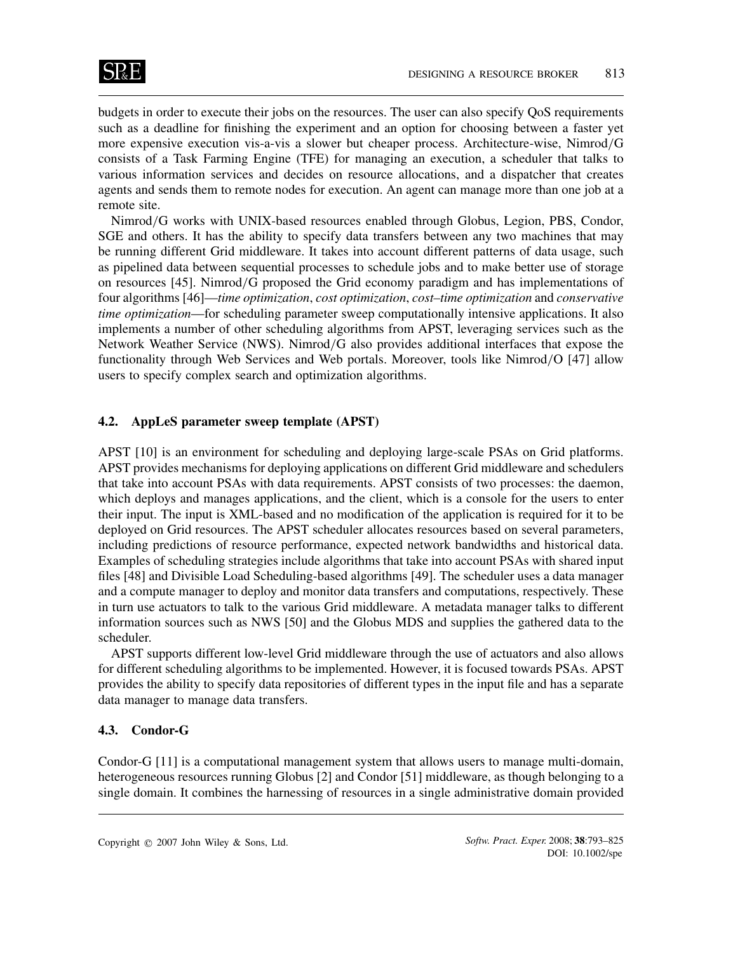budgets in order to execute their jobs on the resources. The user can also specify QoS requirements such as a deadline for finishing the experiment and an option for choosing between a faster yet more expensive execution vis-a-vis a slower but cheaper process. Architecture-wise, Nimrod*/*G consists of a Task Farming Engine (TFE) for managing an execution, a scheduler that talks to various information services and decides on resource allocations, and a dispatcher that creates agents and sends them to remote nodes for execution. An agent can manage more than one job at a remote site.

Nimrod*/*G works with UNIX-based resources enabled through Globus, Legion, PBS, Condor, SGE and others. It has the ability to specify data transfers between any two machines that may be running different Grid middleware. It takes into account different patterns of data usage, such as pipelined data between sequential processes to schedule jobs and to make better use of storage on resources [45]. Nimrod*/*G proposed the Grid economy paradigm and has implementations of four algorithms [46]—*time optimization*, *cost optimization*, *cost–time optimization* and *conservative time optimization*—for scheduling parameter sweep computationally intensive applications. It also implements a number of other scheduling algorithms from APST, leveraging services such as the Network Weather Service (NWS). Nimrod*/*G also provides additional interfaces that expose the functionality through Web Services and Web portals. Moreover, tools like Nimrod*/*O [47] allow users to specify complex search and optimization algorithms.

# **4.2. AppLeS parameter sweep template (APST)**

APST [10] is an environment for scheduling and deploying large-scale PSAs on Grid platforms. APST provides mechanisms for deploying applications on different Grid middleware and schedulers that take into account PSAs with data requirements. APST consists of two processes: the daemon, which deploys and manages applications, and the client, which is a console for the users to enter their input. The input is XML-based and no modification of the application is required for it to be deployed on Grid resources. The APST scheduler allocates resources based on several parameters, including predictions of resource performance, expected network bandwidths and historical data. Examples of scheduling strategies include algorithms that take into account PSAs with shared input files [48] and Divisible Load Scheduling-based algorithms [49]. The scheduler uses a data manager and a compute manager to deploy and monitor data transfers and computations, respectively. These in turn use actuators to talk to the various Grid middleware. A metadata manager talks to different information sources such as NWS [50] and the Globus MDS and supplies the gathered data to the scheduler.

APST supports different low-level Grid middleware through the use of actuators and also allows for different scheduling algorithms to be implemented. However, it is focused towards PSAs. APST provides the ability to specify data repositories of different types in the input file and has a separate data manager to manage data transfers.

# **4.3. Condor-G**

Condor-G [11] is a computational management system that allows users to manage multi-domain, heterogeneous resources running Globus [2] and Condor [51] middleware, as though belonging to a single domain. It combines the harnessing of resources in a single administrative domain provided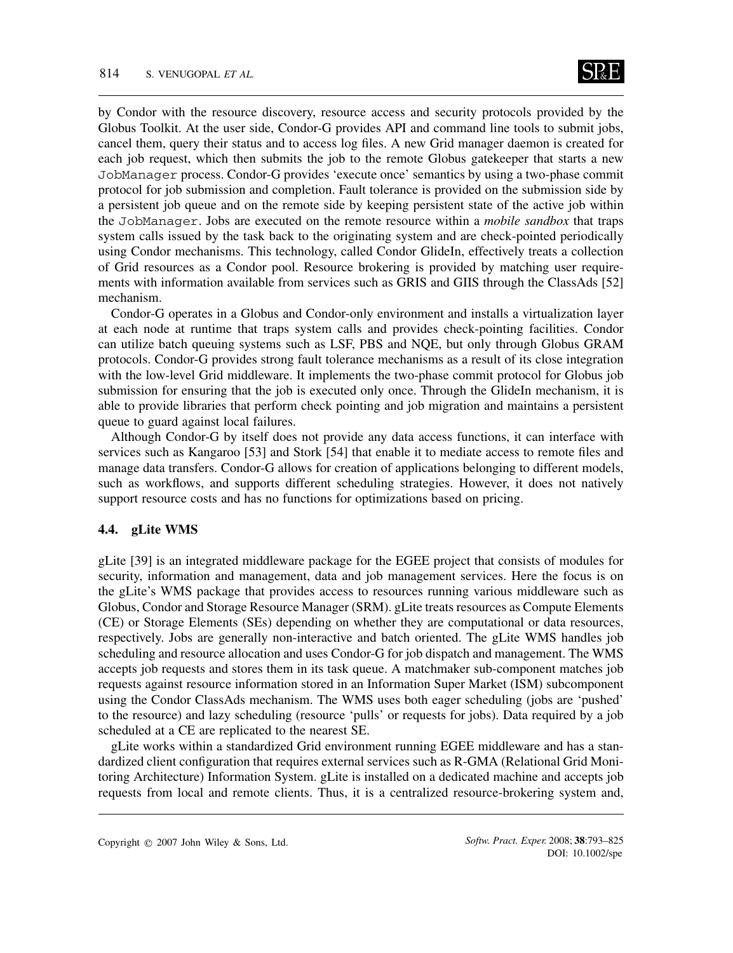by Condor with the resource discovery, resource access and security protocols provided by the Globus Toolkit. At the user side, Condor-G provides API and command line tools to submit jobs, cancel them, query their status and to access log files. A new Grid manager daemon is created for each job request, which then submits the job to the remote Globus gatekeeper that starts a new JobManager process. Condor-G provides 'execute once' semantics by using a two-phase commit protocol for job submission and completion. Fault tolerance is provided on the submission side by a persistent job queue and on the remote side by keeping persistent state of the active job within the JobManager. Jobs are executed on the remote resource within a *mobile sandbox* that traps system calls issued by the task back to the originating system and are check-pointed periodically using Condor mechanisms. This technology, called Condor GlideIn, effectively treats a collection of Grid resources as a Condor pool. Resource brokering is provided by matching user requirements with information available from services such as GRIS and GIIS through the ClassAds [52] mechanism.

Condor-G operates in a Globus and Condor-only environment and installs a virtualization layer at each node at runtime that traps system calls and provides check-pointing facilities. Condor can utilize batch queuing systems such as LSF, PBS and NQE, but only through Globus GRAM protocols. Condor-G provides strong fault tolerance mechanisms as a result of its close integration with the low-level Grid middleware. It implements the two-phase commit protocol for Globus job submission for ensuring that the job is executed only once. Through the GlideIn mechanism, it is able to provide libraries that perform check pointing and job migration and maintains a persistent queue to guard against local failures.

Although Condor-G by itself does not provide any data access functions, it can interface with services such as Kangaroo [53] and Stork [54] that enable it to mediate access to remote files and manage data transfers. Condor-G allows for creation of applications belonging to different models, such as workflows, and supports different scheduling strategies. However, it does not natively support resource costs and has no functions for optimizations based on pricing.

#### **4.4. gLite WMS**

gLite [39] is an integrated middleware package for the EGEE project that consists of modules for security, information and management, data and job management services. Here the focus is on the gLite's WMS package that provides access to resources running various middleware such as Globus, Condor and Storage Resource Manager (SRM). gLite treats resources as Compute Elements (CE) or Storage Elements (SEs) depending on whether they are computational or data resources, respectively. Jobs are generally non-interactive and batch oriented. The gLite WMS handles job scheduling and resource allocation and uses Condor-G for job dispatch and management. The WMS accepts job requests and stores them in its task queue. A matchmaker sub-component matches job requests against resource information stored in an Information Super Market (ISM) subcomponent using the Condor ClassAds mechanism. The WMS uses both eager scheduling (jobs are 'pushed' to the resource) and lazy scheduling (resource 'pulls' or requests for jobs). Data required by a job scheduled at a CE are replicated to the nearest SE.

gLite works within a standardized Grid environment running EGEE middleware and has a standardized client configuration that requires external services such as R-GMA (Relational Grid Monitoring Architecture) Information System. gLite is installed on a dedicated machine and accepts job requests from local and remote clients. Thus, it is a centralized resource-brokering system and,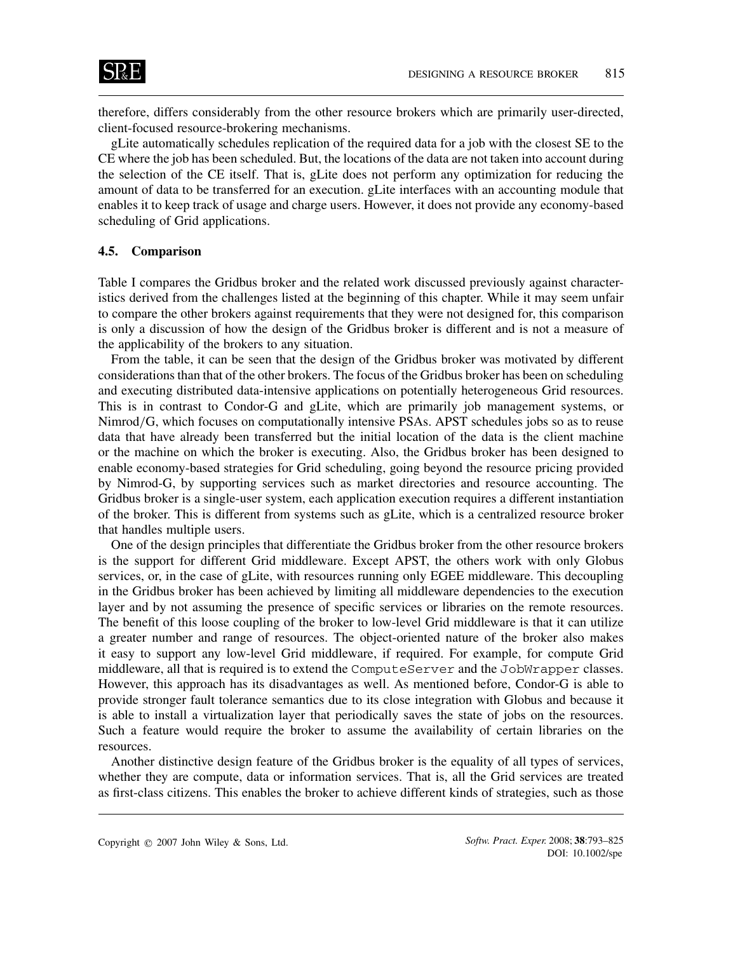

therefore, differs considerably from the other resource brokers which are primarily user-directed, client-focused resource-brokering mechanisms.

gLite automatically schedules replication of the required data for a job with the closest SE to the CE where the job has been scheduled. But, the locations of the data are not taken into account during the selection of the CE itself. That is, gLite does not perform any optimization for reducing the amount of data to be transferred for an execution. gLite interfaces with an accounting module that enables it to keep track of usage and charge users. However, it does not provide any economy-based scheduling of Grid applications.

# **4.5. Comparison**

Table I compares the Gridbus broker and the related work discussed previously against characteristics derived from the challenges listed at the beginning of this chapter. While it may seem unfair to compare the other brokers against requirements that they were not designed for, this comparison is only a discussion of how the design of the Gridbus broker is different and is not a measure of the applicability of the brokers to any situation.

From the table, it can be seen that the design of the Gridbus broker was motivated by different considerations than that of the other brokers. The focus of the Gridbus broker has been on scheduling and executing distributed data-intensive applications on potentially heterogeneous Grid resources. This is in contrast to Condor-G and gLite, which are primarily job management systems, or Nimrod*/*G, which focuses on computationally intensive PSAs. APST schedules jobs so as to reuse data that have already been transferred but the initial location of the data is the client machine or the machine on which the broker is executing. Also, the Gridbus broker has been designed to enable economy-based strategies for Grid scheduling, going beyond the resource pricing provided by Nimrod-G, by supporting services such as market directories and resource accounting. The Gridbus broker is a single-user system, each application execution requires a different instantiation of the broker. This is different from systems such as gLite, which is a centralized resource broker that handles multiple users.

One of the design principles that differentiate the Gridbus broker from the other resource brokers is the support for different Grid middleware. Except APST, the others work with only Globus services, or, in the case of gLite, with resources running only EGEE middleware. This decoupling in the Gridbus broker has been achieved by limiting all middleware dependencies to the execution layer and by not assuming the presence of specific services or libraries on the remote resources. The benefit of this loose coupling of the broker to low-level Grid middleware is that it can utilize a greater number and range of resources. The object-oriented nature of the broker also makes it easy to support any low-level Grid middleware, if required. For example, for compute Grid middleware, all that is required is to extend the ComputeServer and the JobWrapper classes. However, this approach has its disadvantages as well. As mentioned before, Condor-G is able to provide stronger fault tolerance semantics due to its close integration with Globus and because it is able to install a virtualization layer that periodically saves the state of jobs on the resources. Such a feature would require the broker to assume the availability of certain libraries on the resources.

Another distinctive design feature of the Gridbus broker is the equality of all types of services, whether they are compute, data or information services. That is, all the Grid services are treated as first-class citizens. This enables the broker to achieve different kinds of strategies, such as those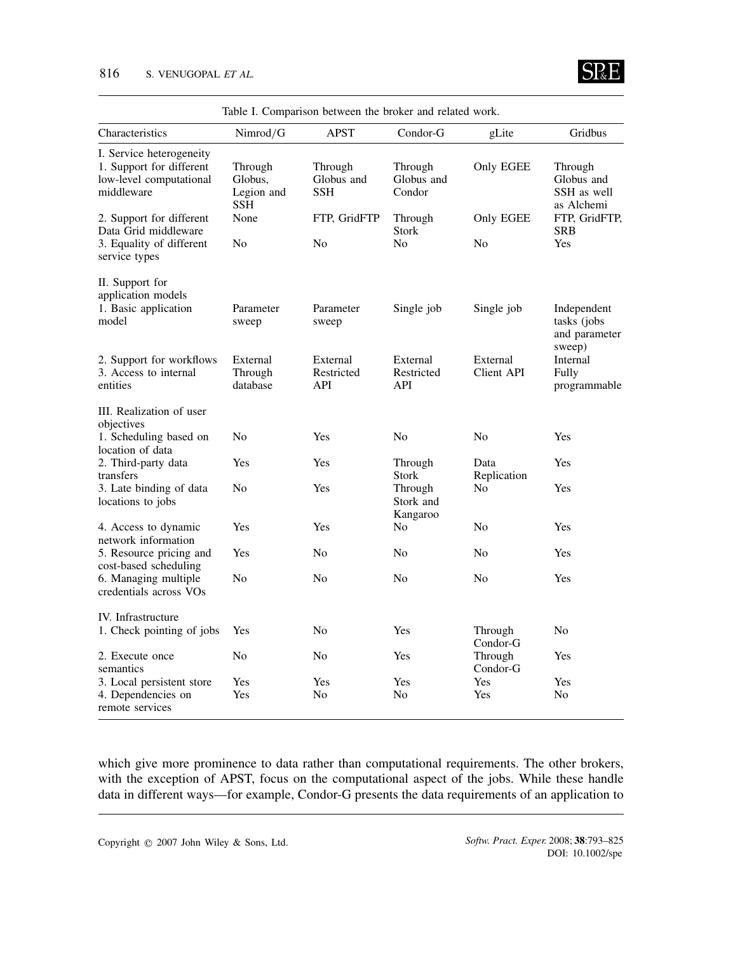

| Characteristics                                                                               | Nimrod/G                                       | <b>APST</b>                    | Condor-G                        | gLite                         | Gridbus                                            |
|-----------------------------------------------------------------------------------------------|------------------------------------------------|--------------------------------|---------------------------------|-------------------------------|----------------------------------------------------|
| I. Service heterogeneity<br>1. Support for different<br>low-level computational<br>middleware | Through<br>Globus,<br>Legion and<br><b>SSH</b> | Through<br>Globus and<br>SSH   | Through<br>Globus and<br>Condor | Only EGEE                     | Through<br>Globus and<br>SSH as well<br>as Alchemi |
| 2. Support for different<br>Data Grid middleware<br>3. Equality of different<br>service types | None<br>N <sub>o</sub>                         | FTP, GridFTP<br>N <sub>o</sub> | Through<br>Stork<br>No          | Only EGEE<br>No               | FTP, GridFTP,<br>SRB<br>Yes                        |
| II. Support for<br>application models<br>1. Basic application<br>model                        | Parameter<br>sweep                             | Parameter<br>sweep             | Single job                      | Single job                    | Independent<br>tasks (jobs<br>and parameter        |
| 2. Support for workflows<br>3. Access to internal<br>entities                                 | External<br>Through<br>database                | External<br>Restricted<br>API  | External<br>Restricted<br>API   | External<br><b>Client API</b> | sweep)<br>Internal<br>Fully<br>programmable        |
| III. Realization of user                                                                      |                                                |                                |                                 |                               |                                                    |
| objectives<br>1. Scheduling based on<br>location of data                                      | N <sub>0</sub>                                 | Yes                            | N <sub>0</sub>                  | N <sub>0</sub>                | Yes                                                |
| 2. Third-party data<br>transfers                                                              | Yes                                            | Yes                            | Through<br>Stork                | Data<br>Replication           | Yes                                                |
| 3. Late binding of data<br>locations to jobs                                                  | No                                             | Yes                            | Through<br>Stork and            | No                            | Yes                                                |
| 4. Access to dynamic<br>network information                                                   | Yes                                            | Yes                            | Kangaroo<br>N <sub>0</sub>      | No                            | Yes                                                |
| 5. Resource pricing and                                                                       | Yes                                            | No                             | No                              | No                            | Yes                                                |
| cost-based scheduling<br>6. Managing multiple<br>credentials across VOs                       | No                                             | No                             | N <sub>0</sub>                  | No                            | Yes                                                |
| IV. Infrastructure<br>1. Check pointing of jobs                                               | Yes                                            | No                             | Yes                             | Through<br>Condor-G           | No                                                 |
| 2. Execute once<br>semantics                                                                  | No                                             | No                             | <b>Yes</b>                      | Through<br>Condor-G           | Yes                                                |
| 3. Local persistent store                                                                     | Yes                                            | Yes                            | Yes                             | Yes                           | Yes                                                |
| 4. Dependencies on<br>remote services                                                         | Yes                                            | No                             | No                              | Yes                           | No                                                 |

Table I. Comparison between the broker and related work.

which give more prominence to data rather than computational requirements. The other brokers, with the exception of APST, focus on the computational aspect of the jobs. While these handle data in different ways—for example, Condor-G presents the data requirements of an application to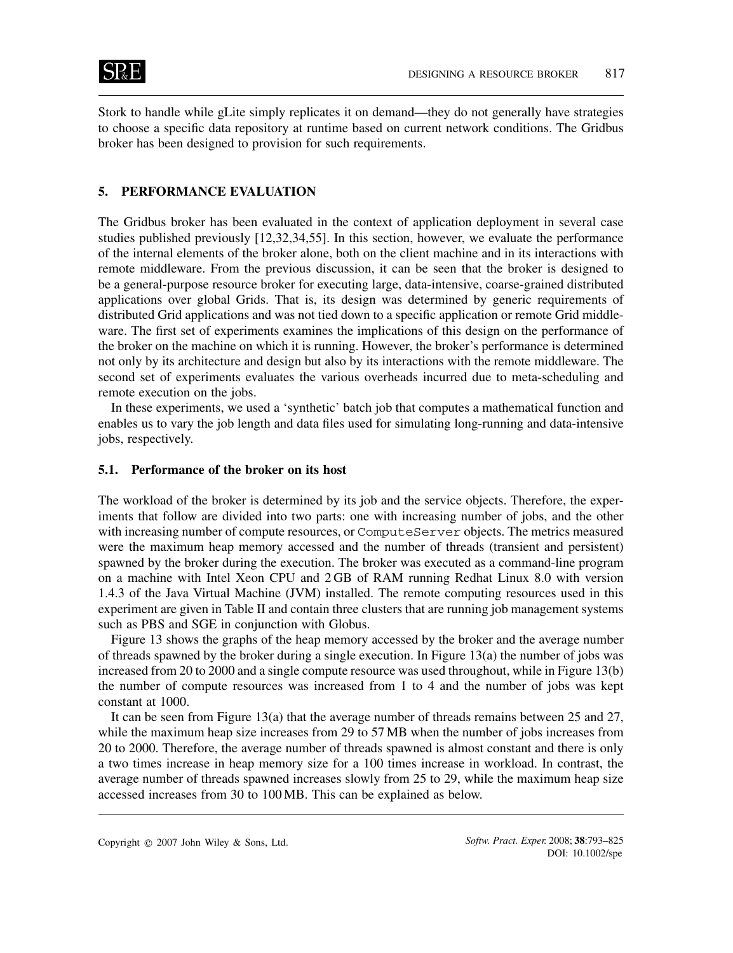Stork to handle while gLite simply replicates it on demand—they do not generally have strategies to choose a specific data repository at runtime based on current network conditions. The Gridbus broker has been designed to provision for such requirements.

# **5. PERFORMANCE EVALUATION**

The Gridbus broker has been evaluated in the context of application deployment in several case studies published previously [12,32,34,55]. In this section, however, we evaluate the performance of the internal elements of the broker alone, both on the client machine and in its interactions with remote middleware. From the previous discussion, it can be seen that the broker is designed to be a general-purpose resource broker for executing large, data-intensive, coarse-grained distributed applications over global Grids. That is, its design was determined by generic requirements of distributed Grid applications and was not tied down to a specific application or remote Grid middleware. The first set of experiments examines the implications of this design on the performance of the broker on the machine on which it is running. However, the broker's performance is determined not only by its architecture and design but also by its interactions with the remote middleware. The second set of experiments evaluates the various overheads incurred due to meta-scheduling and remote execution on the jobs.

In these experiments, we used a 'synthetic' batch job that computes a mathematical function and enables us to vary the job length and data files used for simulating long-running and data-intensive jobs, respectively.

# **5.1. Performance of the broker on its host**

The workload of the broker is determined by its job and the service objects. Therefore, the experiments that follow are divided into two parts: one with increasing number of jobs, and the other with increasing number of compute resources, or ComputeServer objects. The metrics measured were the maximum heap memory accessed and the number of threads (transient and persistent) spawned by the broker during the execution. The broker was executed as a command-line program on a machine with Intel Xeon CPU and 2 GB of RAM running Redhat Linux 8.0 with version 1.4.3 of the Java Virtual Machine (JVM) installed. The remote computing resources used in this experiment are given in Table II and contain three clusters that are running job management systems such as PBS and SGE in conjunction with Globus.

Figure 13 shows the graphs of the heap memory accessed by the broker and the average number of threads spawned by the broker during a single execution. In Figure 13(a) the number of jobs was increased from 20 to 2000 and a single compute resource was used throughout, while in Figure 13(b) the number of compute resources was increased from 1 to 4 and the number of jobs was kept constant at 1000.

It can be seen from Figure 13(a) that the average number of threads remains between 25 and 27, while the maximum heap size increases from 29 to 57 MB when the number of jobs increases from 20 to 2000. Therefore, the average number of threads spawned is almost constant and there is only a two times increase in heap memory size for a 100 times increase in workload. In contrast, the average number of threads spawned increases slowly from 25 to 29, while the maximum heap size accessed increases from 30 to 100 MB. This can be explained as below.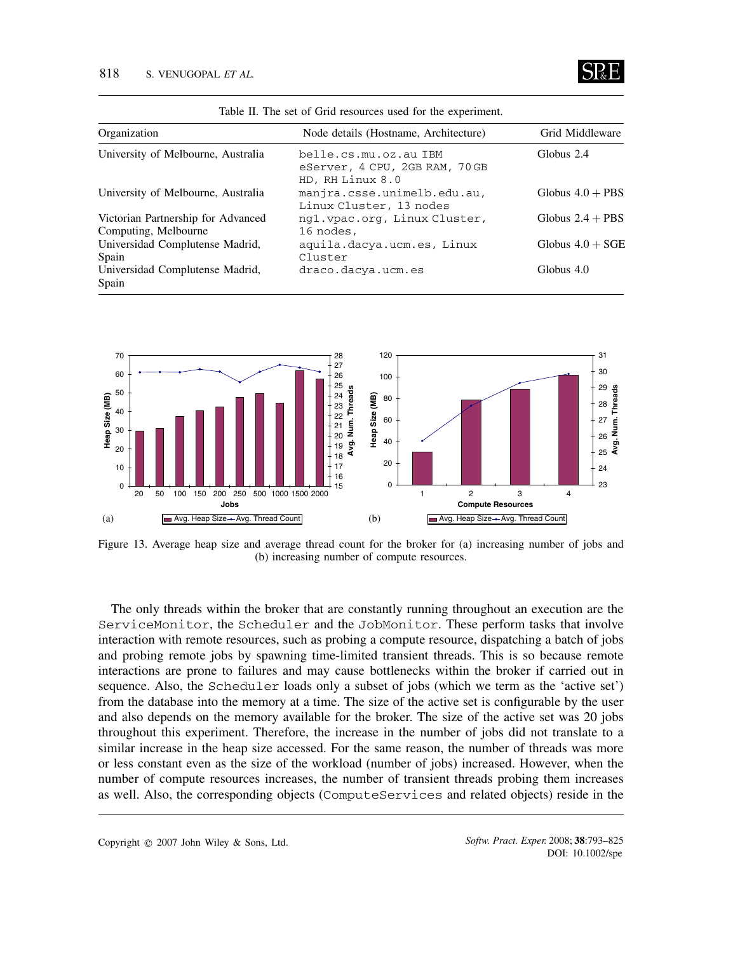| Organization                                               | Node details (Hostname, Architecture)                                       | Grid Middleware    |
|------------------------------------------------------------|-----------------------------------------------------------------------------|--------------------|
| University of Melbourne, Australia                         | belle.cs.mu.oz.au IBM<br>eServer, 4 CPU, 2GB RAM, 70 GB<br>HD, RH Linux 8.0 | Globus 2.4         |
| University of Melbourne, Australia                         | manjra.csse.unimelb.edu.au,<br>Linux Cluster, 13 nodes                      | Globus $4.0 + PBS$ |
| Victorian Partnership for Advanced<br>Computing, Melbourne | ng1. vpac.org, Linux Cluster,<br>16 nodes,                                  | Globus $2.4 + PBS$ |
| Universidad Complutense Madrid,<br>Spain                   | aquila.dacya.ucm.es, Linux<br>Cluster                                       | Globus $4.0 + SGE$ |
| Universidad Complutense Madrid,<br>Spain                   | draco.dacya.ucm.es                                                          | Globus 4.0         |

Table II. The set of Grid resources used for the experiment.



Figure 13. Average heap size and average thread count for the broker for (a) increasing number of jobs and (b) increasing number of compute resources.

The only threads within the broker that are constantly running throughout an execution are the ServiceMonitor, the Scheduler and the JobMonitor. These perform tasks that involve interaction with remote resources, such as probing a compute resource, dispatching a batch of jobs and probing remote jobs by spawning time-limited transient threads. This is so because remote interactions are prone to failures and may cause bottlenecks within the broker if carried out in sequence. Also, the Scheduler loads only a subset of jobs (which we term as the 'active set') from the database into the memory at a time. The size of the active set is configurable by the user and also depends on the memory available for the broker. The size of the active set was 20 jobs throughout this experiment. Therefore, the increase in the number of jobs did not translate to a similar increase in the heap size accessed. For the same reason, the number of threads was more or less constant even as the size of the workload (number of jobs) increased. However, when the number of compute resources increases, the number of transient threads probing them increases as well. Also, the corresponding objects (ComputeServices and related objects) reside in the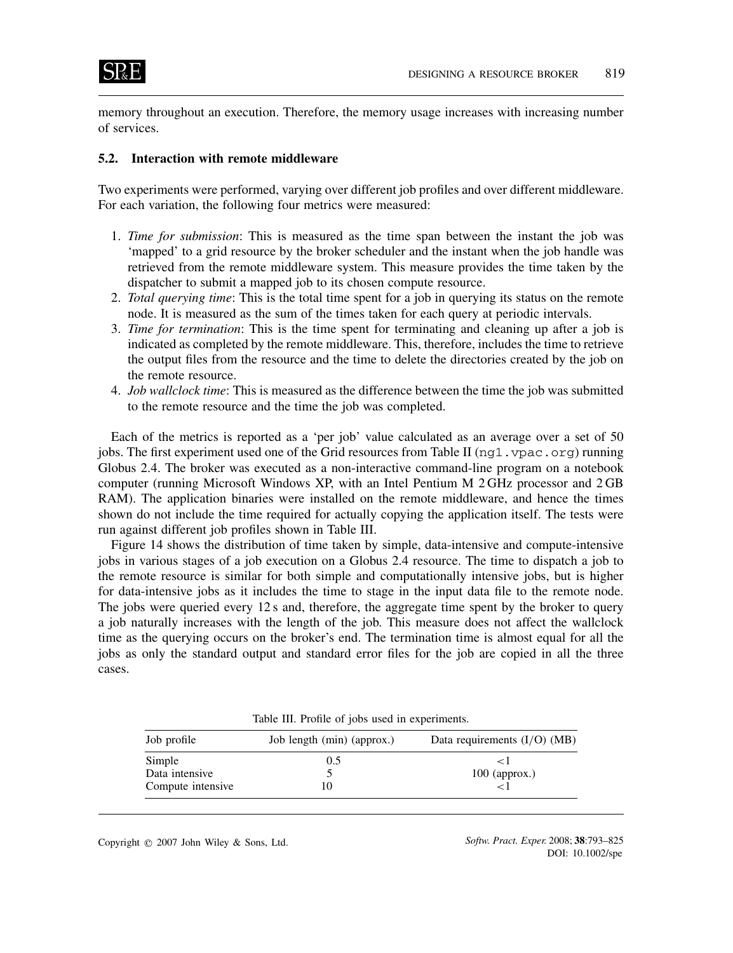

memory throughout an execution. Therefore, the memory usage increases with increasing number of services.

# **5.2. Interaction with remote middleware**

Two experiments were performed, varying over different job profiles and over different middleware. For each variation, the following four metrics were measured:

- 1. *Time for submission*: This is measured as the time span between the instant the job was 'mapped' to a grid resource by the broker scheduler and the instant when the job handle was retrieved from the remote middleware system. This measure provides the time taken by the dispatcher to submit a mapped job to its chosen compute resource.
- 2. *Total querying time*: This is the total time spent for a job in querying its status on the remote node. It is measured as the sum of the times taken for each query at periodic intervals.
- 3. *Time for termination*: This is the time spent for terminating and cleaning up after a job is indicated as completed by the remote middleware. This, therefore, includes the time to retrieve the output files from the resource and the time to delete the directories created by the job on the remote resource.
- 4. *Job wallclock time*: This is measured as the difference between the time the job was submitted to the remote resource and the time the job was completed.

Each of the metrics is reported as a 'per job' value calculated as an average over a set of 50 jobs. The first experiment used one of the Grid resources from Table II (ng1.vpac.org) running Globus 2.4. The broker was executed as a non-interactive command-line program on a notebook computer (running Microsoft Windows XP, with an Intel Pentium M 2 GHz processor and 2 GB RAM). The application binaries were installed on the remote middleware, and hence the times shown do not include the time required for actually copying the application itself. The tests were run against different job profiles shown in Table III.

Figure 14 shows the distribution of time taken by simple, data-intensive and compute-intensive jobs in various stages of a job execution on a Globus 2.4 resource. The time to dispatch a job to the remote resource is similar for both simple and computationally intensive jobs, but is higher for data-intensive jobs as it includes the time to stage in the input data file to the remote node. The jobs were queried every 12 s and, therefore, the aggregate time spent by the broker to query a job naturally increases with the length of the job. This measure does not affect the wallclock time as the querying occurs on the broker's end. The termination time is almost equal for all the jobs as only the standard output and standard error files for the job are copied in all the three cases.

| Job profile       | Job length (min) (approx.) | Data requirements $(I/O)$ (MB) |
|-------------------|----------------------------|--------------------------------|
| Simple            | 0.5                        |                                |
| Data intensive    |                            | $100$ (approx.)                |
| Compute intensive |                            |                                |

Table III. Profile of jobs used in experiments.

Copyright q 2007 John Wiley & Sons, Ltd. *Softw. Pract. Exper.* 2008; **38**:793–825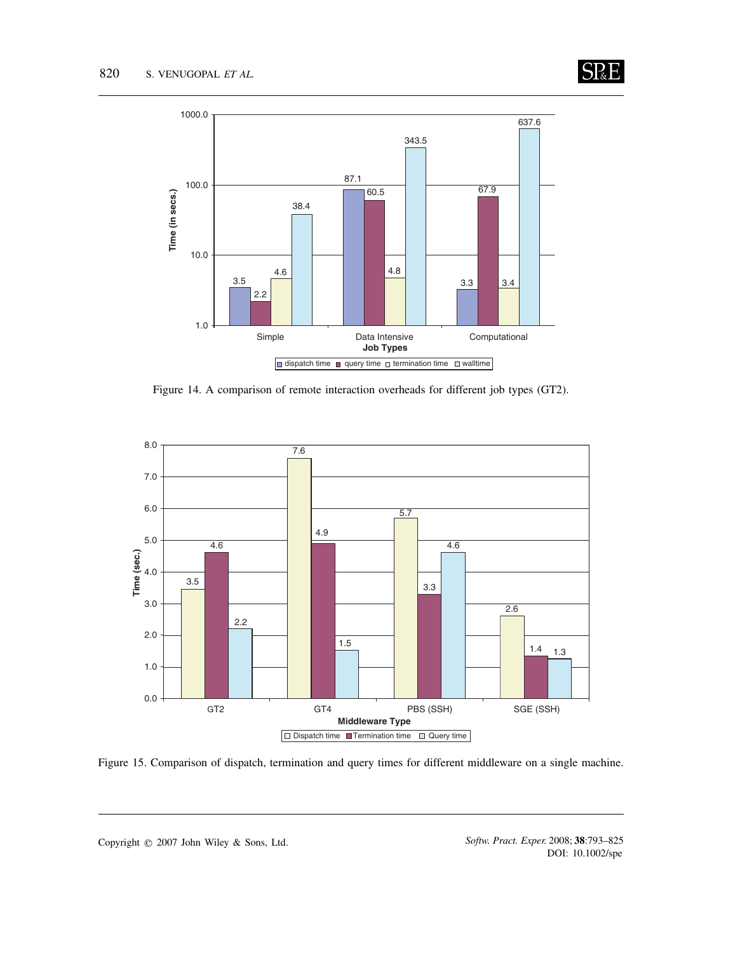

Figure 14. A comparison of remote interaction overheads for different job types (GT2).



Figure 15. Comparison of dispatch, termination and query times for different middleware on a single machine.

Copyright q 2007 John Wiley & Sons, Ltd. *Softw. Pract. Exper.* 2008; **38**:793–825

DOI: 10.1002/spe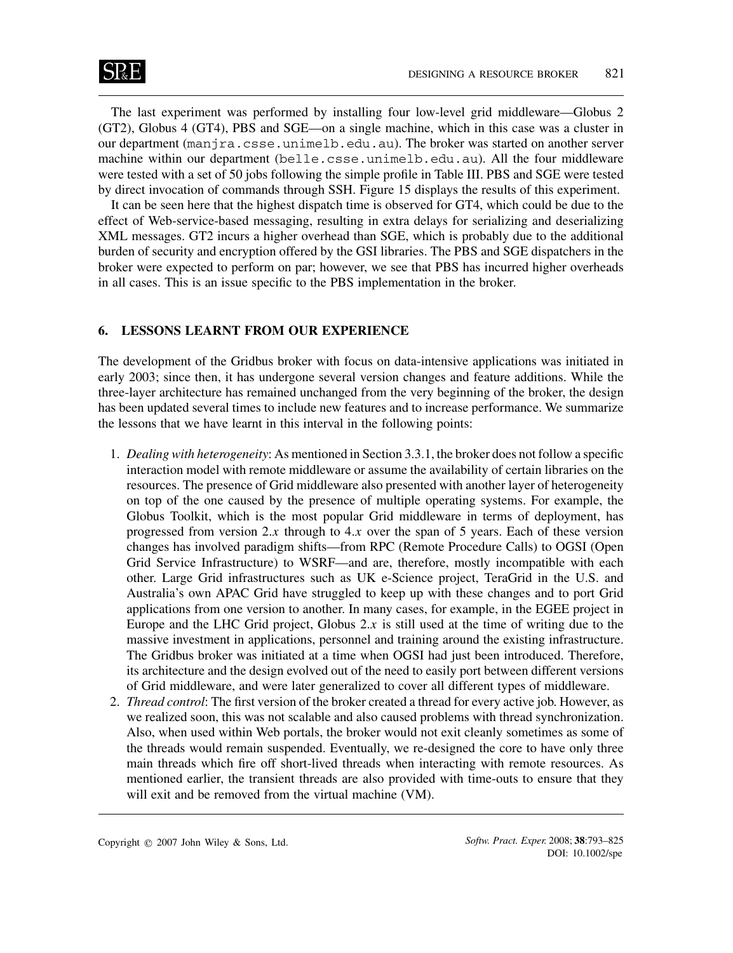The last experiment was performed by installing four low-level grid middleware—Globus 2 (GT2), Globus 4 (GT4), PBS and SGE—on a single machine, which in this case was a cluster in our department (manjra.csse.unimelb.edu.au). The broker was started on another server machine within our department (belle.csse.unimelb.edu.au). All the four middleware were tested with a set of 50 jobs following the simple profile in Table III. PBS and SGE were tested by direct invocation of commands through SSH. Figure 15 displays the results of this experiment.

It can be seen here that the highest dispatch time is observed for GT4, which could be due to the effect of Web-service-based messaging, resulting in extra delays for serializing and deserializing XML messages. GT2 incurs a higher overhead than SGE, which is probably due to the additional burden of security and encryption offered by the GSI libraries. The PBS and SGE dispatchers in the broker were expected to perform on par; however, we see that PBS has incurred higher overheads in all cases. This is an issue specific to the PBS implementation in the broker.

# **6. LESSONS LEARNT FROM OUR EXPERIENCE**

The development of the Gridbus broker with focus on data-intensive applications was initiated in early 2003; since then, it has undergone several version changes and feature additions. While the three-layer architecture has remained unchanged from the very beginning of the broker, the design has been updated several times to include new features and to increase performance. We summarize the lessons that we have learnt in this interval in the following points:

- 1. *Dealing with heterogeneity*: As mentioned in Section 3.3.1, the broker does not follow a specific interaction model with remote middleware or assume the availability of certain libraries on the resources. The presence of Grid middleware also presented with another layer of heterogeneity on top of the one caused by the presence of multiple operating systems. For example, the Globus Toolkit, which is the most popular Grid middleware in terms of deployment, has progressed from version 2*.x* through to 4*.x* over the span of 5 years. Each of these version changes has involved paradigm shifts—from RPC (Remote Procedure Calls) to OGSI (Open Grid Service Infrastructure) to WSRF—and are, therefore, mostly incompatible with each other. Large Grid infrastructures such as UK e-Science project, TeraGrid in the U.S. and Australia's own APAC Grid have struggled to keep up with these changes and to port Grid applications from one version to another. In many cases, for example, in the EGEE project in Europe and the LHC Grid project, Globus 2*.x* is still used at the time of writing due to the massive investment in applications, personnel and training around the existing infrastructure. The Gridbus broker was initiated at a time when OGSI had just been introduced. Therefore, its architecture and the design evolved out of the need to easily port between different versions of Grid middleware, and were later generalized to cover all different types of middleware.
- 2. *Thread control*: The first version of the broker created a thread for every active job. However, as we realized soon, this was not scalable and also caused problems with thread synchronization. Also, when used within Web portals, the broker would not exit cleanly sometimes as some of the threads would remain suspended. Eventually, we re-designed the core to have only three main threads which fire off short-lived threads when interacting with remote resources. As mentioned earlier, the transient threads are also provided with time-outs to ensure that they will exit and be removed from the virtual machine (VM).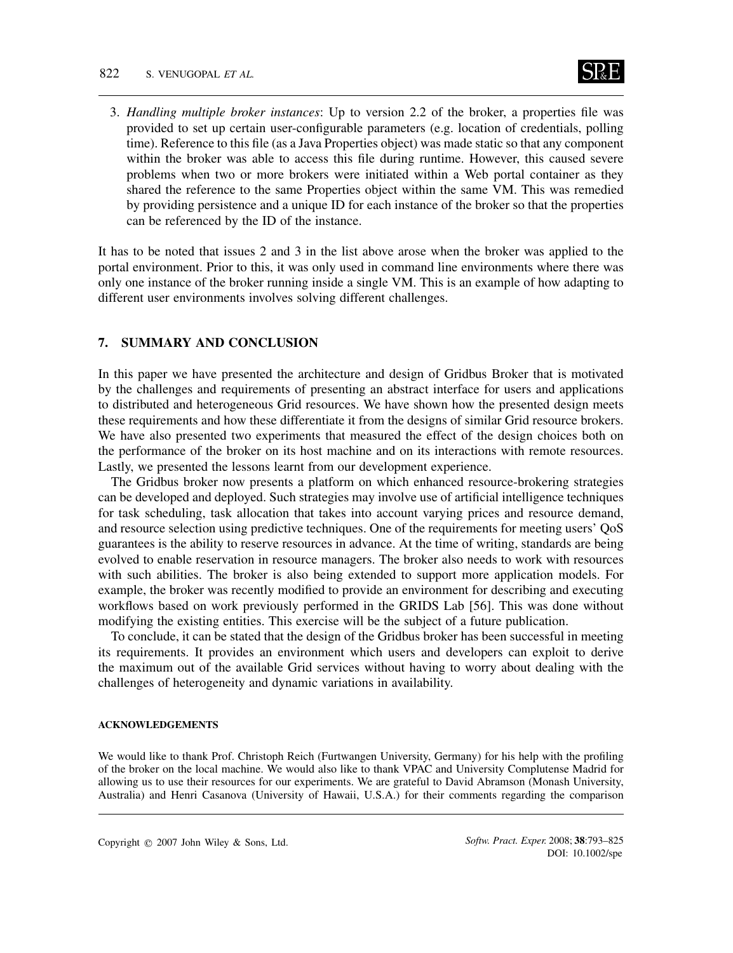3. *Handling multiple broker instances*: Up to version 2.2 of the broker, a properties file was provided to set up certain user-configurable parameters (e.g. location of credentials, polling time). Reference to this file (as a Java Properties object) was made static so that any component within the broker was able to access this file during runtime. However, this caused severe problems when two or more brokers were initiated within a Web portal container as they shared the reference to the same Properties object within the same VM. This was remedied by providing persistence and a unique ID for each instance of the broker so that the properties can be referenced by the ID of the instance.

It has to be noted that issues 2 and 3 in the list above arose when the broker was applied to the portal environment. Prior to this, it was only used in command line environments where there was only one instance of the broker running inside a single VM. This is an example of how adapting to different user environments involves solving different challenges.

#### **7. SUMMARY AND CONCLUSION**

In this paper we have presented the architecture and design of Gridbus Broker that is motivated by the challenges and requirements of presenting an abstract interface for users and applications to distributed and heterogeneous Grid resources. We have shown how the presented design meets these requirements and how these differentiate it from the designs of similar Grid resource brokers. We have also presented two experiments that measured the effect of the design choices both on the performance of the broker on its host machine and on its interactions with remote resources. Lastly, we presented the lessons learnt from our development experience.

The Gridbus broker now presents a platform on which enhanced resource-brokering strategies can be developed and deployed. Such strategies may involve use of artificial intelligence techniques for task scheduling, task allocation that takes into account varying prices and resource demand, and resource selection using predictive techniques. One of the requirements for meeting users' QoS guarantees is the ability to reserve resources in advance. At the time of writing, standards are being evolved to enable reservation in resource managers. The broker also needs to work with resources with such abilities. The broker is also being extended to support more application models. For example, the broker was recently modified to provide an environment for describing and executing workflows based on work previously performed in the GRIDS Lab [56]. This was done without modifying the existing entities. This exercise will be the subject of a future publication.

To conclude, it can be stated that the design of the Gridbus broker has been successful in meeting its requirements. It provides an environment which users and developers can exploit to derive the maximum out of the available Grid services without having to worry about dealing with the challenges of heterogeneity and dynamic variations in availability.

#### **ACKNOWLEDGEMENTS**

We would like to thank Prof. Christoph Reich (Furtwangen University, Germany) for his help with the profiling of the broker on the local machine. We would also like to thank VPAC and University Complutense Madrid for allowing us to use their resources for our experiments. We are grateful to David Abramson (Monash University, Australia) and Henri Casanova (University of Hawaii, U.S.A.) for their comments regarding the comparison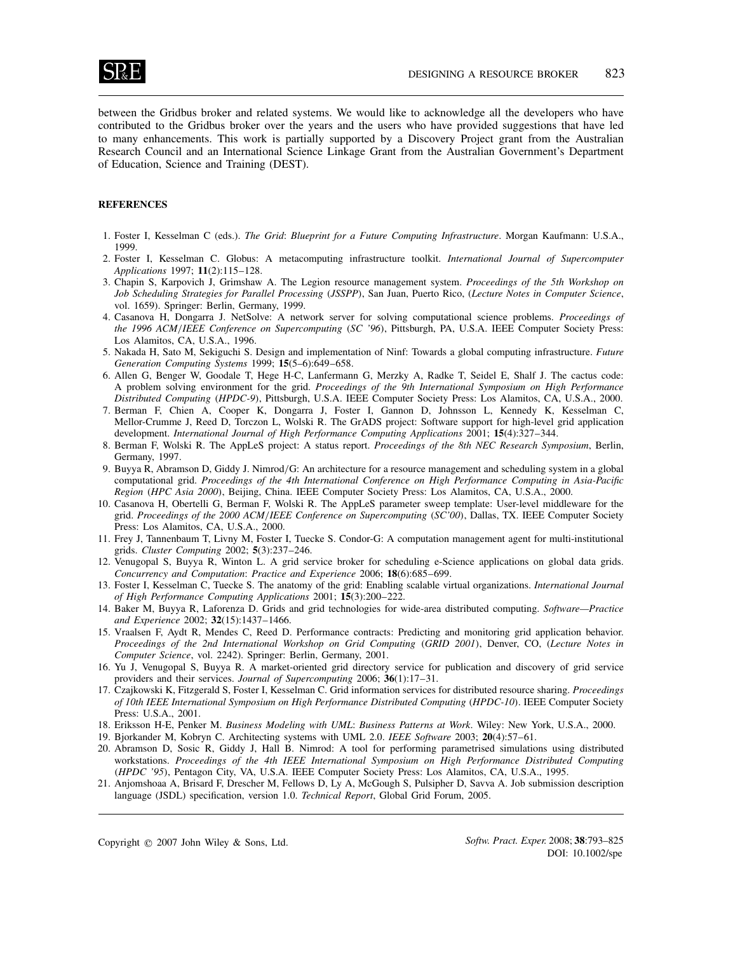between the Gridbus broker and related systems. We would like to acknowledge all the developers who have contributed to the Gridbus broker over the years and the users who have provided suggestions that have led to many enhancements. This work is partially supported by a Discovery Project grant from the Australian Research Council and an International Science Linkage Grant from the Australian Government's Department of Education, Science and Training (DEST).

#### **REFERENCES**

- 1. Foster I, Kesselman C (eds.). *The Grid*: *Blueprint for a Future Computing Infrastructure*. Morgan Kaufmann: U.S.A., 1999.
- 2. Foster I, Kesselman C. Globus: A metacomputing infrastructure toolkit. *International Journal of Supercomputer Applications* 1997; **11**(2):115–128.
- 3. Chapin S, Karpovich J, Grimshaw A. The Legion resource management system. *Proceedings of the 5th Workshop on Job Scheduling Strategies for Parallel Processing (JSSPP)*, San Juan, Puerto Rico, (*Lecture Notes in Computer Science*, vol. 1659). Springer: Berlin, Germany, 1999.
- 4. Casanova H, Dongarra J. NetSolve: A network server for solving computational science problems. *Proceedings of the 1996 ACM/IEEE Conference on Supercomputing (SC '96)*, Pittsburgh, PA, U.S.A. IEEE Computer Society Press: Los Alamitos, CA, U.S.A., 1996.
- 5. Nakada H, Sato M, Sekiguchi S. Design and implementation of Ninf: Towards a global computing infrastructure. *Future Generation Computing Systems* 1999; **15**(5–6):649–658.
- 6. Allen G, Benger W, Goodale T, Hege H-C, Lanfermann G, Merzky A, Radke T, Seidel E, Shalf J. The cactus code: A problem solving environment for the grid. *Proceedings of the 9th International Symposium on High Performance Distributed Computing (HPDC-9)*, Pittsburgh, U.S.A. IEEE Computer Society Press: Los Alamitos, CA, U.S.A., 2000.
- 7. Berman F, Chien A, Cooper K, Dongarra J, Foster I, Gannon D, Johnsson L, Kennedy K, Kesselman C, Mellor-Crumme J, Reed D, Torczon L, Wolski R. The GrADS project: Software support for high-level grid application development. *International Journal of High Performance Computing Applications* 2001; **15**(4):327–344.
- 8. Berman F, Wolski R. The AppLeS project: A status report. *Proceedings of the 8th NEC Research Symposium*, Berlin, Germany, 1997.
- 9. Buyya R, Abramson D, Giddy J. Nimrod*/*G: An architecture for a resource management and scheduling system in a global computational grid. *Proceedings of the 4th International Conference on High Performance Computing in Asia-Pacific Region (HPC Asia 2000)*, Beijing, China. IEEE Computer Society Press: Los Alamitos, CA, U.S.A., 2000.
- 10. Casanova H, Obertelli G, Berman F, Wolski R. The AppLeS parameter sweep template: User-level middleware for the grid. *Proceedings of the 2000 ACM/IEEE Conference on Supercomputing (SC'00)*, Dallas, TX. IEEE Computer Society Press: Los Alamitos, CA, U.S.A., 2000.
- 11. Frey J, Tannenbaum T, Livny M, Foster I, Tuecke S. Condor-G: A computation management agent for multi-institutional grids. *Cluster Computing* 2002; **5**(3):237–246.
- 12. Venugopal S, Buyya R, Winton L. A grid service broker for scheduling e-Science applications on global data grids. *Concurrency and Computation*: *Practice and Experience* 2006; **18**(6):685–699.
- 13. Foster I, Kesselman C, Tuecke S. The anatomy of the grid: Enabling scalable virtual organizations. *International Journal of High Performance Computing Applications* 2001; **15**(3):200–222.
- 14. Baker M, Buyya R, Laforenza D. Grids and grid technologies for wide-area distributed computing. *Software—Practice and Experience* 2002; **32**(15):1437–1466.
- 15. Vraalsen F, Aydt R, Mendes C, Reed D. Performance contracts: Predicting and monitoring grid application behavior. *Proceedings of the 2nd International Workshop on Grid Computing (GRID 2001)*, Denver, CO, (*Lecture Notes in Computer Science*, vol. 2242). Springer: Berlin, Germany, 2001.
- 16. Yu J, Venugopal S, Buyya R. A market-oriented grid directory service for publication and discovery of grid service providers and their services. *Journal of Supercomputing* 2006; **36**(1):17–31.
- 17. Czajkowski K, Fitzgerald S, Foster I, Kesselman C. Grid information services for distributed resource sharing. *Proceedings of 10th IEEE International Symposium on High Performance Distributed Computing (HPDC-10)*. IEEE Computer Society Press: U.S.A., 2001.
- 18. Eriksson H-E, Penker M. *Business Modeling with UML*: *Business Patterns at Work*. Wiley: New York, U.S.A., 2000.
- 19. Bjorkander M, Kobryn C. Architecting systems with UML 2.0. *IEEE Software* 2003; **20**(4):57–61.
- 20. Abramson D, Sosic R, Giddy J, Hall B. Nimrod: A tool for performing parametrised simulations using distributed workstations. *Proceedings of the 4th IEEE International Symposium on High Performance Distributed Computing (HPDC '95)*, Pentagon City, VA, U.S.A. IEEE Computer Society Press: Los Alamitos, CA, U.S.A., 1995.
- 21. Anjomshoaa A, Brisard F, Drescher M, Fellows D, Ly A, McGough S, Pulsipher D, Savva A. Job submission description language (JSDL) specification, version 1.0. *Technical Report*, Global Grid Forum, 2005.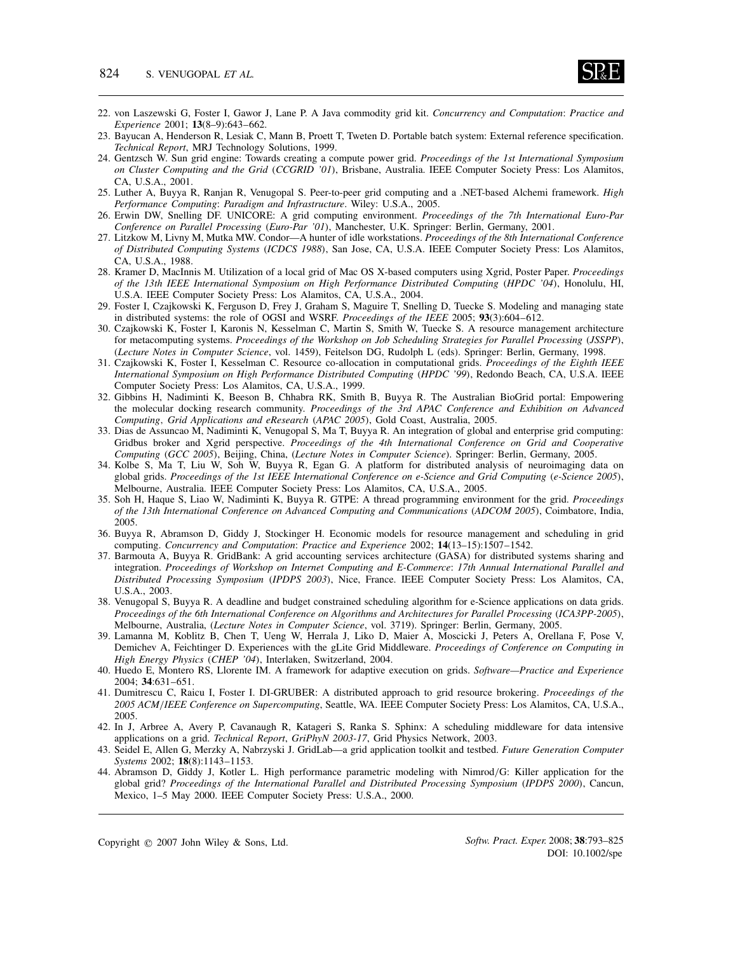- 22. von Laszewski G, Foster I, Gawor J, Lane P. A Java commodity grid kit. *Concurrency and Computation*: *Practice and Experience* 2001; **13**(8–9):643–662.
- 23. Bayucan A, Henderson R, Lesiak C, Mann B, Proett T, Tweten D. Portable batch system: External reference specification. *Technical Report*, MRJ Technology Solutions, 1999.
- 24. Gentzsch W. Sun grid engine: Towards creating a compute power grid. *Proceedings of the 1st International Symposium on Cluster Computing and the Grid (CCGRID '01)*, Brisbane, Australia. IEEE Computer Society Press: Los Alamitos, CA, U.S.A., 2001.
- 25. Luther A, Buyya R, Ranjan R, Venugopal S. Peer-to-peer grid computing and a .NET-based Alchemi framework. *High Performance Computing*: *Paradigm and Infrastructure*. Wiley: U.S.A., 2005.
- 26. Erwin DW, Snelling DF. UNICORE: A grid computing environment. *Proceedings of the 7th International Euro-Par Conference on Parallel Processing (Euro-Par '01)*, Manchester, U.K. Springer: Berlin, Germany, 2001.
- 27. Litzkow M, Livny M, Mutka MW. Condor—A hunter of idle workstations. *Proceedings of the 8th International Conference of Distributed Computing Systems (ICDCS 1988)*, San Jose, CA, U.S.A. IEEE Computer Society Press: Los Alamitos, CA, U.S.A., 1988.
- 28. Kramer D, MacInnis M. Utilization of a local grid of Mac OS X-based computers using Xgrid, Poster Paper. *Proceedings of the 13th IEEE International Symposium on High Performance Distributed Computing (HPDC '04)*, Honolulu, HI, U.S.A. IEEE Computer Society Press: Los Alamitos, CA, U.S.A., 2004.
- 29. Foster I, Czajkowski K, Ferguson D, Frey J, Graham S, Maguire T, Snelling D, Tuecke S. Modeling and managing state in distributed systems: the role of OGSI and WSRF. *Proceedings of the IEEE* 2005; **93**(3):604–612.
- 30. Czajkowski K, Foster I, Karonis N, Kesselman C, Martin S, Smith W, Tuecke S. A resource management architecture for metacomputing systems. *Proceedings of the Workshop on Job Scheduling Strategies for Parallel Processing (JSSPP)*, (*Lecture Notes in Computer Science*, vol. 1459), Feitelson DG, Rudolph L (eds). Springer: Berlin, Germany, 1998.
- 31. Czajkowski K, Foster I, Kesselman C. Resource co-allocation in computational grids. *Proceedings of the Eighth IEEE International Symposium on High Performance Distributed Computing (HPDC '99)*, Redondo Beach, CA, U.S.A. IEEE Computer Society Press: Los Alamitos, CA, U.S.A., 1999.
- 32. Gibbins H, Nadiminti K, Beeson B, Chhabra RK, Smith B, Buyya R. The Australian BioGrid portal: Empowering the molecular docking research community. *Proceedings of the 3rd APAC Conference and Exhibition on Advanced Computing, Grid Applications and eResearch (APAC 2005)*, Gold Coast, Australia, 2005.
- 33. Dias de Assuncao M, Nadiminti K, Venugopal S, Ma T, Buyya R. An integration of global and enterprise grid computing: Gridbus broker and Xgrid perspective. *Proceedings of the 4th International Conference on Grid and Cooperative Computing (GCC 2005)*, Beijing, China, (*Lecture Notes in Computer Science*). Springer: Berlin, Germany, 2005.
- 34. Kolbe S, Ma T, Liu W, Soh W, Buyya R, Egan G. A platform for distributed analysis of neuroimaging data on global grids. *Proceedings of the 1st IEEE International Conference on e-Science and Grid Computing (e-Science 2005)*, Melbourne, Australia. IEEE Computer Society Press: Los Alamitos, CA, U.S.A., 2005.
- 35. Soh H, Haque S, Liao W, Nadiminti K, Buyya R. GTPE: A thread programming environment for the grid. *Proceedings of the 13th International Conference on Advanced Computing and Communications (ADCOM 2005)*, Coimbatore, India, 2005.
- 36. Buyya R, Abramson D, Giddy J, Stockinger H. Economic models for resource management and scheduling in grid computing. *Concurrency and Computation*: *Practice and Experience* 2002; **14**(13–15):1507–1542.
- 37. Barmouta A, Buyya R. GridBank: A grid accounting services architecture (GASA) for distributed systems sharing and integration. *Proceedings of Workshop on Internet Computing and E-Commerce*: *17th Annual International Parallel and Distributed Processing Symposium (IPDPS 2003)*, Nice, France. IEEE Computer Society Press: Los Alamitos, CA, U.S.A., 2003.
- 38. Venugopal S, Buyya R. A deadline and budget constrained scheduling algorithm for e-Science applications on data grids. *Proceedings of the 6th International Conference on Algorithms and Architectures for Parallel Processing (ICA3PP-2005)*, Melbourne, Australia, (*Lecture Notes in Computer Science*, vol. 3719). Springer: Berlin, Germany, 2005.
- 39. Lamanna M, Koblitz B, Chen T, Ueng W, Herrala J, Liko D, Maier A, Moscicki J, Peters A, Orellana F, Pose V, Demichev A, Feichtinger D. Experiences with the gLite Grid Middleware. *Proceedings of Conference on Computing in High Energy Physics (CHEP '04)*, Interlaken, Switzerland, 2004.
- 40. Huedo E, Montero RS, Llorente IM. A framework for adaptive execution on grids. *Software—Practice and Experience* 2004; **34**:631–651.
- 41. Dumitrescu C, Raicu I, Foster I. DI-GRUBER: A distributed approach to grid resource brokering. *Proceedings of the 2005 ACM/IEEE Conference on Supercomputing*, Seattle, WA. IEEE Computer Society Press: Los Alamitos, CA, U.S.A., 2005.
- 42. In J, Arbree A, Avery P, Cavanaugh R, Katageri S, Ranka S. Sphinx: A scheduling middleware for data intensive applications on a grid. *Technical Report*, *GriPhyN 2003-17*, Grid Physics Network, 2003.
- 43. Seidel E, Allen G, Merzky A, Nabrzyski J. GridLab—a grid application toolkit and testbed. *Future Generation Computer Systems* 2002; **18**(8):1143–1153.
- 44. Abramson D, Giddy J, Kotler L. High performance parametric modeling with Nimrod*/*G: Killer application for the global grid? *Proceedings of the International Parallel and Distributed Processing Symposium (IPDPS 2000)*, Cancun, Mexico, 1–5 May 2000. IEEE Computer Society Press: U.S.A., 2000.